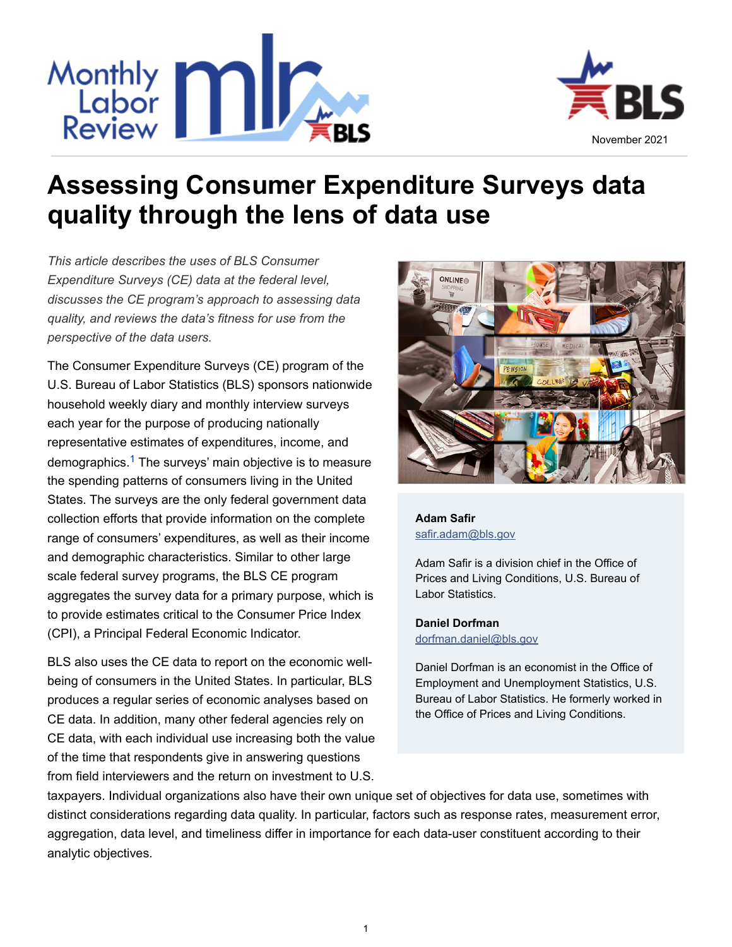



# **Assessing Consumer Expenditure Surveys data quality through the lens of data use**

*This article describes the uses of BLS Consumer Expenditure Surveys (CE) data at the federal level, discusses the CE program's approach to assessing data quality, and reviews the data's fitness for use from the perspective of the data users.*

<span id="page-0-0"></span>The Consumer Expenditure Surveys (CE) program of the U.S. Bureau of Labor Statistics (BLS) sponsors nationwide household weekly diary and monthly interview surveys each year for the purpose of producing nationally representative estimates of expenditures, income, and demographics.<sup>[1](#page-14-0)</sup> The surveys' main objective is to measure the spending patterns of consumers living in the United States. The surveys are the only federal government data collection efforts that provide information on the complete range of consumers' expenditures, as well as their income and demographic characteristics. Similar to other large scale federal survey programs, the BLS CE program aggregates the survey data for a primary purpose, which is to provide estimates critical to the Consumer Price Index (CPI), a Principal Federal Economic Indicator.

BLS also uses the CE data to report on the economic wellbeing of consumers in the United States. In particular, BLS produces a regular series of economic analyses based on CE data. In addition, many other federal agencies rely on CE data, with each individual use increasing both the value of the time that respondents give in answering questions from field interviewers and the return on investment to U.S.



**[Adam Safir](http://www.bls.gov/opub/mlr/author/safir-adam.htm)** [safir.adam@bls.gov](mailto:safir.adam@bls.gov)

Adam Safir is a division chief in the Office of Prices and Living Conditions, U.S. Bureau of Labor Statistics.

#### **[Daniel Dorfman](http://www.bls.gov/opub/mlr/author/dorfman-daniel.htm)**

[dorfman.daniel@bls.gov](mailto:dorfman.daniel@bls.gov)

Daniel Dorfman is an economist in the Office of Employment and Unemployment Statistics, U.S. Bureau of Labor Statistics. He formerly worked in the Office of Prices and Living Conditions.

taxpayers. Individual organizations also have their own unique set of objectives for data use, sometimes with distinct considerations regarding data quality. In particular, factors such as response rates, measurement error, aggregation, data level, and timeliness differ in importance for each data-user constituent according to their analytic objectives.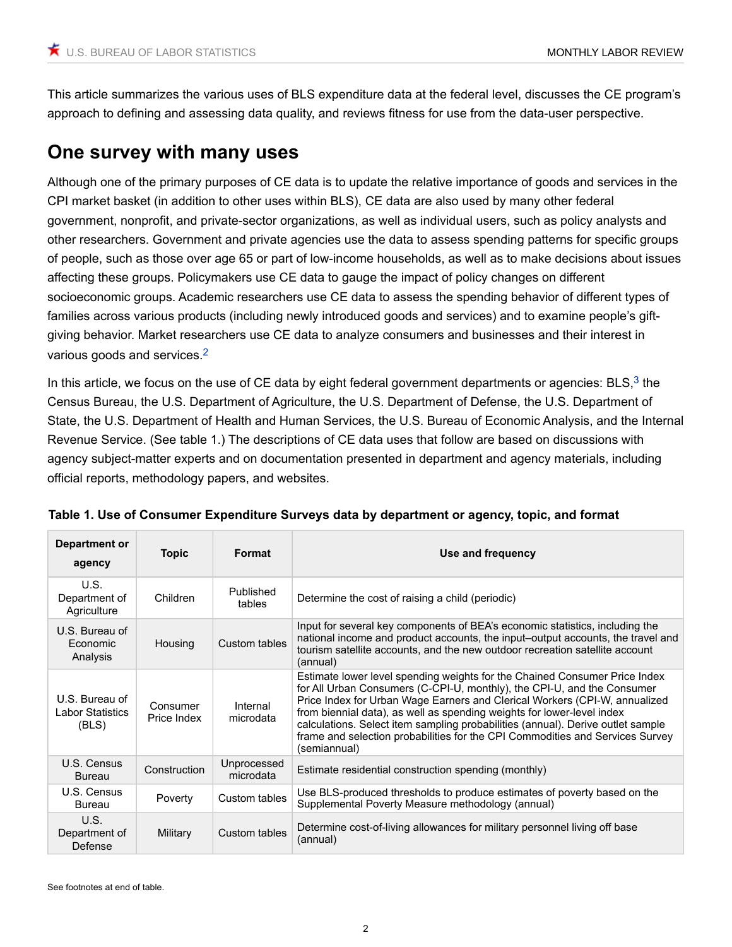This article summarizes the various uses of BLS expenditure data at the federal level, discusses the CE program's approach to defining and assessing data quality, and reviews fitness for use from the data-user perspective.

## **One survey with many uses**

Although one of the primary purposes of CE data is to update the relative importance of goods and services in the CPI market basket (in addition to other uses within BLS), CE data are also used by many other federal government, nonprofit, and private-sector organizations, as well as individual users, such as policy analysts and other researchers. Government and private agencies use the data to assess spending patterns for specific groups of people, such as those over age 65 or part of low-income households, as well as to make decisions about issues affecting these groups. Policymakers use CE data to gauge the impact of policy changes on different socioeconomic groups. Academic researchers use CE data to assess the spending behavior of different types of families across various products (including newly introduced goods and services) and to examine people's giftgiving behavior. Market researchers use CE data to analyze consumers and businesses and their interest in various goods and services.[2](#page-14-1)

<span id="page-1-1"></span><span id="page-1-0"></span>In this article, we focus on the use of CE data by eight federal government departments or agencies:  $BLS<sup>3</sup>$  $BLS<sup>3</sup>$  $BLS<sup>3</sup>$  the Census Bureau, the U.S. Department of Agriculture, the U.S. Department of Defense, the U.S. Department of State, the U.S. Department of Health and Human Services, the U.S. Bureau of Economic Analysis, and the Internal Revenue Service. (See table 1.) The descriptions of CE data uses that follow are based on discussions with agency subject-matter experts and on documentation presented in department and agency materials, including official reports, methodology papers, and websites.

| Department or<br>agency                                                   | <b>Topic</b>            | Format                                                                     | Use and frequency                                                                                                                                                                                                                                                                                                                                                                                                                                                                                 |  |
|---------------------------------------------------------------------------|-------------------------|----------------------------------------------------------------------------|---------------------------------------------------------------------------------------------------------------------------------------------------------------------------------------------------------------------------------------------------------------------------------------------------------------------------------------------------------------------------------------------------------------------------------------------------------------------------------------------------|--|
| U.S.<br>Department of<br>Agriculture                                      | Children                | Published<br>tables                                                        | Determine the cost of raising a child (periodic)                                                                                                                                                                                                                                                                                                                                                                                                                                                  |  |
| U.S. Bureau of<br><b>Economic</b><br>Analysis                             | Housing                 | Custom tables                                                              | Input for several key components of BEA's economic statistics, including the<br>national income and product accounts, the input-output accounts, the travel and<br>tourism satellite accounts, and the new outdoor recreation satellite account<br>(annual)                                                                                                                                                                                                                                       |  |
| U.S. Bureau of<br>Labor Statistics<br>(BLS)                               | Consumer<br>Price Index | Internal<br>microdata                                                      | Estimate lower level spending weights for the Chained Consumer Price Index<br>for All Urban Consumers (C-CPI-U, monthly), the CPI-U, and the Consumer<br>Price Index for Urban Wage Earners and Clerical Workers (CPI-W, annualized<br>from biennial data), as well as spending weights for lower-level index<br>calculations. Select item sampling probabilities (annual). Derive outlet sample<br>frame and selection probabilities for the CPI Commodities and Services Survey<br>(semiannual) |  |
| U.S. Census<br><b>Bureau</b>                                              | Construction            | Unprocessed<br>microdata                                                   | Estimate residential construction spending (monthly)                                                                                                                                                                                                                                                                                                                                                                                                                                              |  |
| U.S. Census<br><b>Bureau</b>                                              | Poverty                 | Custom tables                                                              | Use BLS-produced thresholds to produce estimates of poverty based on the<br>Supplemental Poverty Measure methodology (annual)                                                                                                                                                                                                                                                                                                                                                                     |  |
| U.S.<br>Department of<br>Military<br>Custom tables<br>(annual)<br>Defense |                         | Determine cost-of-living allowances for military personnel living off base |                                                                                                                                                                                                                                                                                                                                                                                                                                                                                                   |  |

| Table 1. Use of Consumer Expenditure Surveys data by department or agency, topic, and format |
|----------------------------------------------------------------------------------------------|
|----------------------------------------------------------------------------------------------|

See footnotes at end of table.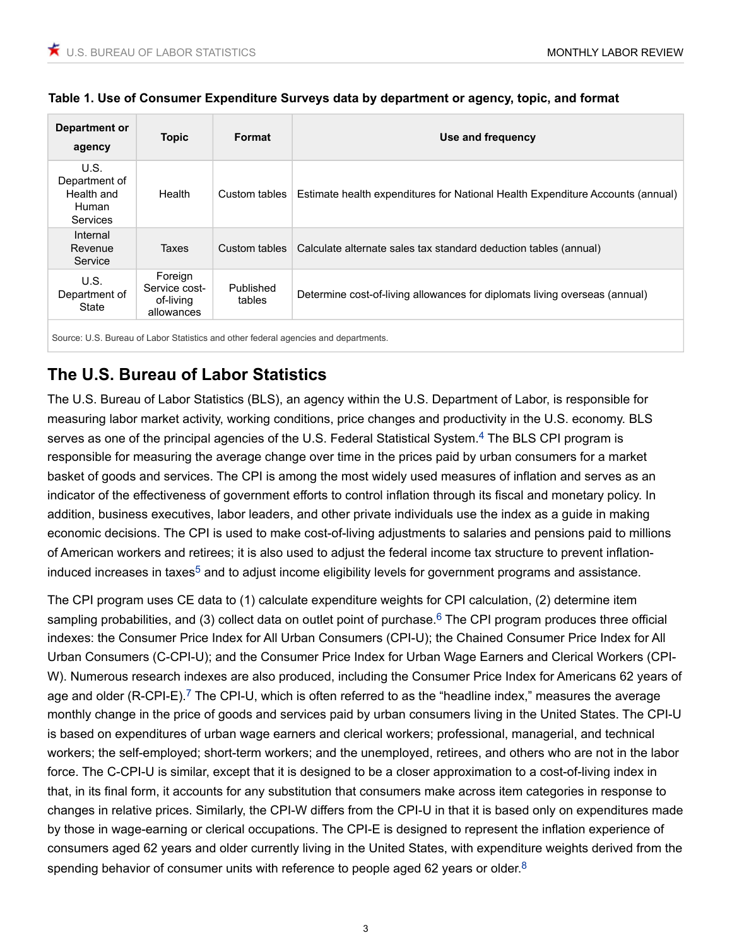#### **Table 1. Use of Consumer Expenditure Surveys data by department or agency, topic, and format**

| Department or<br>agency                                         | <b>Topic</b>                                        | Format              | Use and frequency                                                              |  |
|-----------------------------------------------------------------|-----------------------------------------------------|---------------------|--------------------------------------------------------------------------------|--|
| U.S.<br>Department of<br>Health and<br>Human<br><b>Services</b> | Health                                              | Custom tables       | Estimate health expenditures for National Health Expenditure Accounts (annual) |  |
| Internal<br>Revenue<br>Service                                  | Taxes                                               | Custom tables       | Calculate alternate sales tax standard deduction tables (annual)               |  |
| U.S.<br>Department of<br>State                                  | Foreign<br>Service cost-<br>of-living<br>allowances | Published<br>tables | Determine cost-of-living allowances for diplomats living overseas (annual)     |  |
|                                                                 |                                                     |                     |                                                                                |  |

Source: U.S. Bureau of Labor Statistics and other federal agencies and departments.

### **The U.S. Bureau of Labor Statistics**

<span id="page-2-0"></span>The U.S. Bureau of Labor Statistics (BLS), an agency within the U.S. Department of Labor, is responsible for measuring labor market activity, working conditions, price changes and productivity in the U.S. economy. BLS serves as one of the principal agencies of the U.S. Federal Statistical System.<sup>[4](#page-14-3)</sup> The BLS CPI program is responsible for measuring the average change over time in the prices paid by urban consumers for a market basket of goods and services. The CPI is among the most widely used measures of inflation and serves as an indicator of the effectiveness of government efforts to control inflation through its fiscal and monetary policy. In addition, business executives, labor leaders, and other private individuals use the index as a guide in making economic decisions. The CPI is used to make cost-of-living adjustments to salaries and pensions paid to millions of American workers and retirees; it is also used to adjust the federal income tax structure to prevent inflation-induced increases in taxes<sup>[5](#page-14-4)</sup> and to adjust income eligibility levels for government programs and assistance.

<span id="page-2-4"></span><span id="page-2-3"></span><span id="page-2-2"></span><span id="page-2-1"></span>The CPI program uses CE data to (1) calculate expenditure weights for CPI calculation, (2) determine item sampling probabilities, and (3) collect data on outlet point of purchase.<sup>[6](#page-14-5)</sup> The CPI program produces three official indexes: the Consumer Price Index for All Urban Consumers (CPI-U); the Chained Consumer Price Index for All Urban Consumers (C-CPI-U); and the Consumer Price Index for Urban Wage Earners and Clerical Workers (CPI-W). Numerous research indexes are also produced, including the Consumer Price Index for Americans 62 years of age and older (R-CPI-E).<sup>[7](#page-14-6)</sup> The CPI-U, which is often referred to as the "headline index," measures the average monthly change in the price of goods and services paid by urban consumers living in the United States. The CPI-U is based on expenditures of urban wage earners and clerical workers; professional, managerial, and technical workers; the self-employed; short-term workers; and the unemployed, retirees, and others who are not in the labor force. The C-CPI-U is similar, except that it is designed to be a closer approximation to a cost-of-living index in that, in its final form, it accounts for any substitution that consumers make across item categories in response to changes in relative prices. Similarly, the CPI-W differs from the CPI-U in that it is based only on expenditures made by those in wage-earning or clerical occupations. The CPI-E is designed to represent the inflation experience of consumers aged 62 years and older currently living in the United States, with expenditure weights derived from the spending behavior of consumer units with reference to people aged 62 years or older. $8$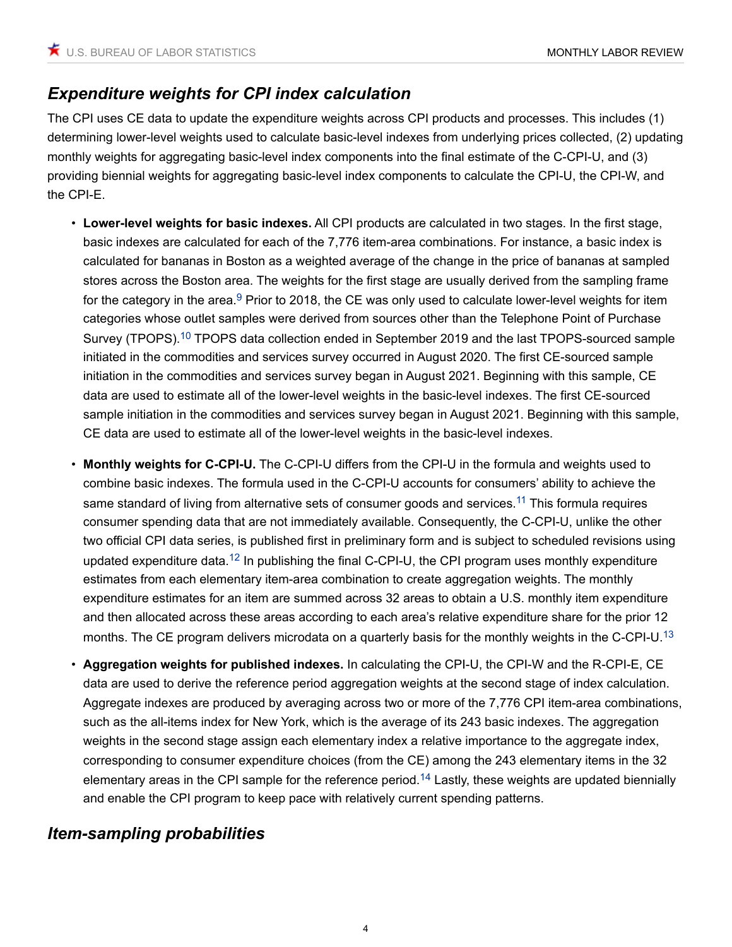### *Expenditure weights for CPI index calculation*

The CPI uses CE data to update the expenditure weights across CPI products and processes. This includes (1) determining lower-level weights used to calculate basic-level indexes from underlying prices collected, (2) updating monthly weights for aggregating basic-level index components into the final estimate of the C-CPI-U, and (3) providing biennial weights for aggregating basic-level index components to calculate the CPI-U, the CPI-W, and the CPI-E.

- <span id="page-3-1"></span><span id="page-3-0"></span>• **Lower-level weights for basic indexes.** All CPI products are calculated in two stages. In the first stage, basic indexes are calculated for each of the 7,776 item-area combinations. For instance, a basic index is calculated for bananas in Boston as a weighted average of the change in the price of bananas at sampled stores across the Boston area. The weights for the first stage are usually derived from the sampling frame for the category in the area. $9$  Prior to 2018, the CE was only used to calculate lower-level weights for item categories whose outlet samples were derived from sources other than the Telephone Point of Purchase Survey (TPOPS).<sup>[10](#page-14-9)</sup> TPOPS data collection ended in September 2019 and the last TPOPS-sourced sample initiated in the commodities and services survey occurred in August 2020. The first CE-sourced sample initiation in the commodities and services survey began in August 2021. Beginning with this sample, CE data are used to estimate all of the lower-level weights in the basic-level indexes. The first CE-sourced sample initiation in the commodities and services survey began in August 2021. Beginning with this sample, CE data are used to estimate all of the lower-level weights in the basic-level indexes.
- <span id="page-3-3"></span><span id="page-3-2"></span>• **Monthly weights for C-CPI-U.** The C-CPI-U differs from the CPI-U in the formula and weights used to combine basic indexes. The formula used in the C-CPI-U accounts for consumers' ability to achieve the same standard of living from alternative sets of consumer goods and services.<sup>[11](#page-14-10)</sup> This formula requires consumer spending data that are not immediately available. Consequently, the C-CPI-U, unlike the other two official CPI data series, is published first in preliminary form and is subject to scheduled revisions using updated expenditure data.<sup>[12](#page-14-11)</sup> In publishing the final C-CPI-U, the CPI program uses monthly expenditure estimates from each elementary item-area combination to create aggregation weights. The monthly expenditure estimates for an item are summed across 32 areas to obtain a U.S. monthly item expenditure and then allocated across these areas according to each area's relative expenditure share for the prior 12 months. The CE program delivers microdata on a quarterly basis for the monthly weights in the C-CPI-U.<sup>[13](#page-14-12)</sup>
- <span id="page-3-5"></span><span id="page-3-4"></span>• **Aggregation weights for published indexes.** In calculating the CPI-U, the CPI-W and the R-CPI-E, CE data are used to derive the reference period aggregation weights at the second stage of index calculation. Aggregate indexes are produced by averaging across two or more of the 7,776 CPI item-area combinations, such as the all-items index for New York, which is the average of its 243 basic indexes. The aggregation weights in the second stage assign each elementary index a relative importance to the aggregate index, corresponding to consumer expenditure choices (from the CE) among the 243 elementary items in the 32 elementary areas in the CPI sample for the reference period.<sup>[14](#page-14-13)</sup> Lastly, these weights are updated biennially and enable the CPI program to keep pace with relatively current spending patterns.

### *Item-sampling probabilities*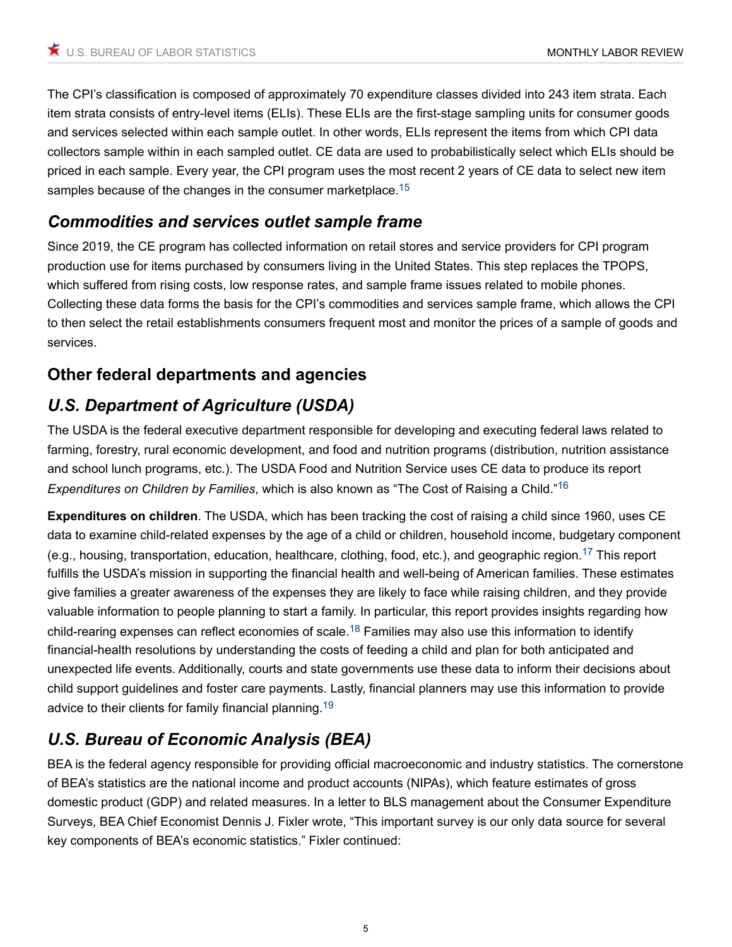The CPI's classification is composed of approximately 70 expenditure classes divided into 243 item strata. Each item strata consists of entry-level items (ELIs). These ELIs are the first-stage sampling units for consumer goods and services selected within each sample outlet. In other words, ELIs represent the items from which CPI data collectors sample within in each sampled outlet. CE data are used to probabilistically select which ELIs should be priced in each sample. Every year, the CPI program uses the most recent 2 years of CE data to select new item samples because of the changes in the consumer marketplace.<sup>[15](#page-14-14)</sup>

### <span id="page-4-0"></span>*Commodities and services outlet sample frame*

Since 2019, the CE program has collected information on retail stores and service providers for CPI program production use for items purchased by consumers living in the United States. This step replaces the TPOPS, which suffered from rising costs, low response rates, and sample frame issues related to mobile phones. Collecting these data forms the basis for the CPI's commodities and services sample frame, which allows the CPI to then select the retail establishments consumers frequent most and monitor the prices of a sample of goods and services.

### **Other federal departments and agencies**

## *U.S. Department of Agriculture (USDA)*

The USDA is the federal executive department responsible for developing and executing federal laws related to farming, forestry, rural economic development, and food and nutrition programs (distribution, nutrition assistance and school lunch programs, etc.). The USDA Food and Nutrition Service uses CE data to produce its report *Expenditures on Children by Families*, which is also known as "The Cost of Raising a Child."[16](#page-14-15)

<span id="page-4-2"></span><span id="page-4-1"></span>**Expenditures on children**. The USDA, which has been tracking the cost of raising a child since 1960, uses CE data to examine child-related expenses by the age of a child or children, household income, budgetary component (e.g., housing, transportation, education, healthcare, clothing, food, etc.), and geographic region.[17](#page-15-0) This report fulfills the USDA's mission in supporting the financial health and well-being of American families. These estimates give families a greater awareness of the expenses they are likely to face while raising children, and they provide valuable information to people planning to start a family. In particular, this report provides insights regarding how child-rearing expenses can reflect economies of scale.<sup>[18](#page-15-1)</sup> Families may also use this information to identify financial-health resolutions by understanding the costs of feeding a child and plan for both anticipated and unexpected life events. Additionally, courts and state governments use these data to inform their decisions about child support guidelines and foster care payments. Lastly, financial planners may use this information to provide advice to their clients for family financial planning.<sup>[19](#page-15-2)</sup>

## <span id="page-4-4"></span><span id="page-4-3"></span>*U.S. Bureau of Economic Analysis (BEA)*

BEA is the federal agency responsible for providing official macroeconomic and industry statistics. The cornerstone of BEA's statistics are the national income and product accounts (NIPAs), which feature estimates of gross domestic product (GDP) and related measures. In a letter to BLS management about the Consumer Expenditure Surveys, BEA Chief Economist Dennis J. Fixler wrote, "This important survey is our only data source for several key components of BEA's economic statistics." Fixler continued: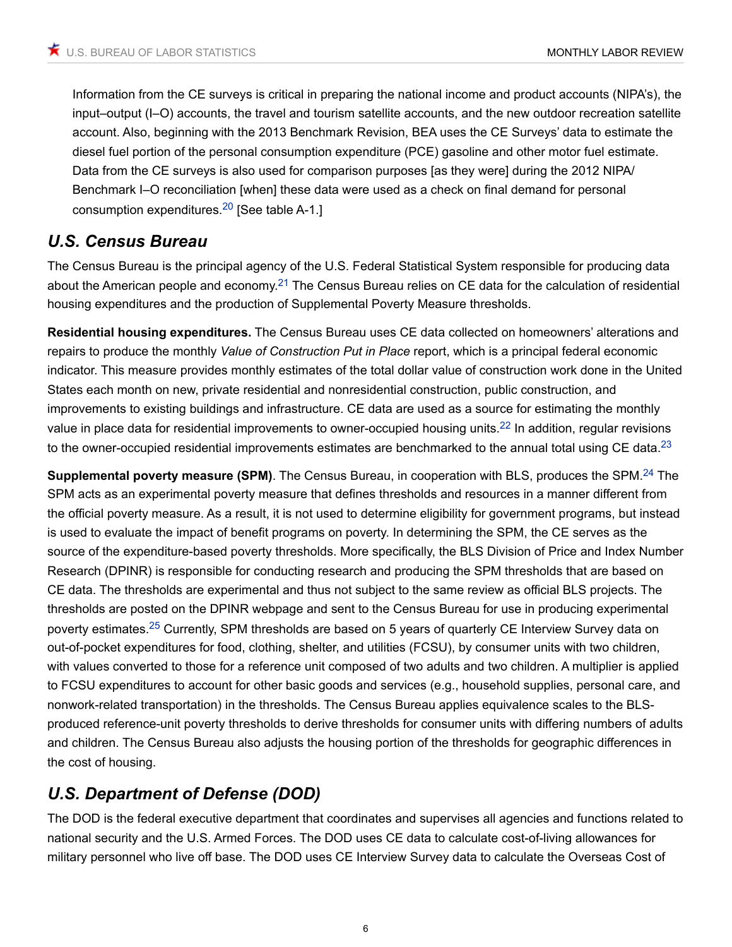Information from the CE surveys is critical in preparing the national income and product accounts (NIPA's), the input–output (I–O) accounts, the travel and tourism satellite accounts, and the new outdoor recreation satellite account. Also, beginning with the 2013 Benchmark Revision, BEA uses the CE Surveys' data to estimate the diesel fuel portion of the personal consumption expenditure (PCE) gasoline and other motor fuel estimate. Data from the CE surveys is also used for comparison purposes [as they were] during the 2012 NIPA/ Benchmark I–O reconciliation [when] these data were used as a check on final demand for personal consumption expenditures.<sup>[20](#page-15-3)</sup> [See table A-1.]

#### <span id="page-5-0"></span>*U.S. Census Bureau*

<span id="page-5-1"></span>The Census Bureau is the principal agency of the U.S. Federal Statistical System responsible for producing data about the American people and economy.<sup>[21](#page-15-4)</sup> The Census Bureau relies on CE data for the calculation of residential housing expenditures and the production of Supplemental Poverty Measure thresholds.

**Residential housing expenditures.** The Census Bureau uses CE data collected on homeowners' alterations and repairs to produce the monthly *Value of Construction Put in Place* report, which is a principal federal economic indicator. This measure provides monthly estimates of the total dollar value of construction work done in the United States each month on new, private residential and nonresidential construction, public construction, and improvements to existing buildings and infrastructure. CE data are used as a source for estimating the monthly value in place data for residential improvements to owner-occupied housing units.<sup>[22](#page-15-5)</sup> In addition, regular revisions to the owner-occupied residential improvements estimates are benchmarked to the annual total using CE data. $^{23}$  $^{23}$  $^{23}$ 

<span id="page-5-5"></span><span id="page-5-4"></span><span id="page-5-3"></span><span id="page-5-2"></span>**Supplemental poverty measure (SPM)**. The Census Bureau, in cooperation with BLS, produces the SPM.[24](#page-15-7) The SPM acts as an experimental poverty measure that defines thresholds and resources in a manner different from the official poverty measure. As a result, it is not used to determine eligibility for government programs, but instead is used to evaluate the impact of benefit programs on poverty. In determining the SPM, the CE serves as the source of the expenditure-based poverty thresholds. More specifically, the BLS Division of Price and Index Number Research (DPINR) is responsible for conducting research and producing the SPM thresholds that are based on CE data. The thresholds are experimental and thus not subject to the same review as official BLS projects. The thresholds are posted on the DPINR webpage and sent to the Census Bureau for use in producing experimental poverty estimates.[25](#page-15-8) Currently, SPM thresholds are based on 5 years of quarterly CE Interview Survey data on out-of-pocket expenditures for food, clothing, shelter, and utilities (FCSU), by consumer units with two children, with values converted to those for a reference unit composed of two adults and two children. A multiplier is applied to FCSU expenditures to account for other basic goods and services (e.g., household supplies, personal care, and nonwork-related transportation) in the thresholds. The Census Bureau applies equivalence scales to the BLSproduced reference-unit poverty thresholds to derive thresholds for consumer units with differing numbers of adults and children. The Census Bureau also adjusts the housing portion of the thresholds for geographic differences in the cost of housing.

### *U.S. Department of Defense (DOD)*

The DOD is the federal executive department that coordinates and supervises all agencies and functions related to national security and the U.S. Armed Forces. The DOD uses CE data to calculate cost-of-living allowances for military personnel who live off base. The DOD uses CE Interview Survey data to calculate the Overseas Cost of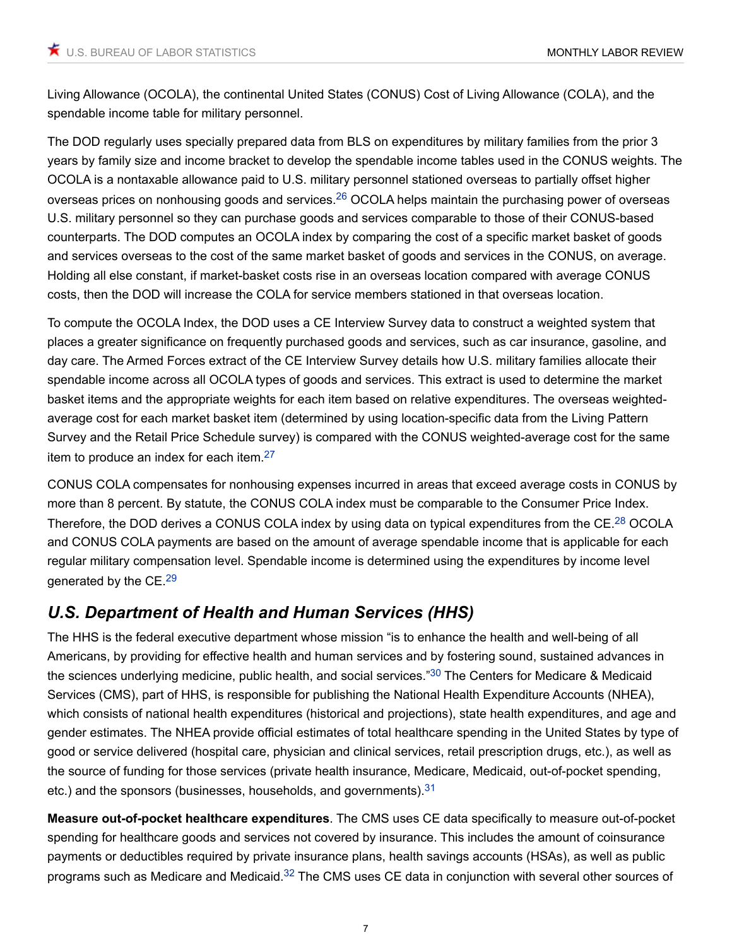Living Allowance (OCOLA), the continental United States (CONUS) Cost of Living Allowance (COLA), and the spendable income table for military personnel.

<span id="page-6-0"></span>The DOD regularly uses specially prepared data from BLS on expenditures by military families from the prior 3 years by family size and income bracket to develop the spendable income tables used in the CONUS weights. The OCOLA is a nontaxable allowance paid to U.S. military personnel stationed overseas to partially offset higher overseas prices on nonhousing goods and services.[26](#page-15-9) OCOLA helps maintain the purchasing power of overseas U.S. military personnel so they can purchase goods and services comparable to those of their CONUS-based counterparts. The DOD computes an OCOLA index by comparing the cost of a specific market basket of goods and services overseas to the cost of the same market basket of goods and services in the CONUS, on average. Holding all else constant, if market-basket costs rise in an overseas location compared with average CONUS costs, then the DOD will increase the COLA for service members stationed in that overseas location.

To compute the OCOLA Index, the DOD uses a CE Interview Survey data to construct a weighted system that places a greater significance on frequently purchased goods and services, such as car insurance, gasoline, and day care. The Armed Forces extract of the CE Interview Survey details how U.S. military families allocate their spendable income across all OCOLA types of goods and services. This extract is used to determine the market basket items and the appropriate weights for each item based on relative expenditures. The overseas weightedaverage cost for each market basket item (determined by using location-specific data from the Living Pattern Survey and the Retail Price Schedule survey) is compared with the CONUS weighted-average cost for the same item to produce an index for each item. $27$ 

<span id="page-6-2"></span><span id="page-6-1"></span>CONUS COLA compensates for nonhousing expenses incurred in areas that exceed average costs in CONUS by more than 8 percent. By statute, the CONUS COLA index must be comparable to the Consumer Price Index. Therefore, the DOD derives a CONUS COLA index by using data on typical expenditures from the CE.<sup>[28](#page-15-11)</sup> OCOLA and CONUS COLA payments are based on the amount of average spendable income that is applicable for each regular military compensation level. Spendable income is determined using the expenditures by income level generated by the CE.<sup>[29](#page-15-12)</sup>

### <span id="page-6-3"></span>*U.S. Department of Health and Human Services (HHS)*

<span id="page-6-4"></span>The HHS is the federal executive department whose mission "is to enhance the health and well-being of all Americans, by providing for effective health and human services and by fostering sound, sustained advances in the sciences underlying medicine, public health, and social services."<sup>[30](#page-15-13)</sup> The Centers for Medicare & Medicaid Services (CMS), part of HHS, is responsible for publishing the National Health Expenditure Accounts (NHEA), which consists of national health expenditures (historical and projections), state health expenditures, and age and gender estimates. The NHEA provide official estimates of total healthcare spending in the United States by type of good or service delivered (hospital care, physician and clinical services, retail prescription drugs, etc.), as well as the source of funding for those services (private health insurance, Medicare, Medicaid, out-of-pocket spending, etc.) and the sponsors (businesses, households, and governments).  $31$ 

<span id="page-6-6"></span><span id="page-6-5"></span>**Measure out-of-pocket healthcare expenditures**. The CMS uses CE data specifically to measure out-of-pocket spending for healthcare goods and services not covered by insurance. This includes the amount of coinsurance payments or deductibles required by private insurance plans, health savings accounts (HSAs), as well as public programs such as Medicare and Medicaid.<sup>[32](#page-15-15)</sup> The CMS uses CE data in conjunction with several other sources of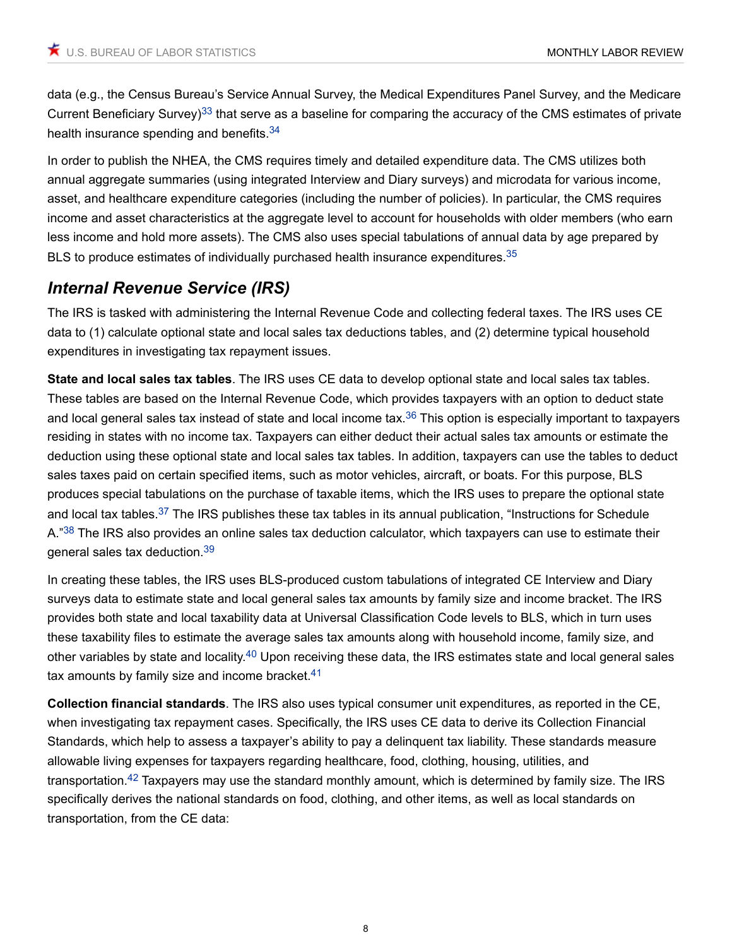<span id="page-7-0"></span>data (e.g., the Census Bureau's Service Annual Survey, the Medical Expenditures Panel Survey, and the Medicare Current Beneficiary Survey)<sup>[33](#page-16-0)</sup> that serve as a baseline for comparing the accuracy of the CMS estimates of private health insurance spending and benefits.<sup>[34](#page-16-1)</sup>

<span id="page-7-1"></span>In order to publish the NHEA, the CMS requires timely and detailed expenditure data. The CMS utilizes both annual aggregate summaries (using integrated Interview and Diary surveys) and microdata for various income, asset, and healthcare expenditure categories (including the number of policies). In particular, the CMS requires income and asset characteristics at the aggregate level to account for households with older members (who earn less income and hold more assets). The CMS also uses special tabulations of annual data by age prepared by BLS to produce estimates of individually purchased health insurance expenditures.<sup>[35](#page-16-2)</sup>

### <span id="page-7-2"></span>*Internal Revenue Service (IRS)*

The IRS is tasked with administering the Internal Revenue Code and collecting federal taxes. The IRS uses CE data to (1) calculate optional state and local sales tax deductions tables, and (2) determine typical household expenditures in investigating tax repayment issues.

<span id="page-7-3"></span>**State and local sales tax tables**. The IRS uses CE data to develop optional state and local sales tax tables. These tables are based on the Internal Revenue Code, which provides taxpayers with an option to deduct state and local general sales tax instead of state and local income tax.<sup>[36](#page-16-3)</sup> This option is especially important to taxpayers residing in states with no income tax. Taxpayers can either deduct their actual sales tax amounts or estimate the deduction using these optional state and local sales tax tables. In addition, taxpayers can use the tables to deduct sales taxes paid on certain specified items, such as motor vehicles, aircraft, or boats. For this purpose, BLS produces special tabulations on the purchase of taxable items, which the IRS uses to prepare the optional state and local tax tables.<sup>[37](#page-16-4)</sup> The IRS publishes these tax tables in its annual publication, "Instructions for Schedule A."<sup>[38](#page-16-5)</sup> The IRS also provides an online sales tax deduction calculator, which taxpayers can use to estimate their general sales tax deduction.[39](#page-16-6)

<span id="page-7-6"></span><span id="page-7-5"></span><span id="page-7-4"></span>In creating these tables, the IRS uses BLS-produced custom tabulations of integrated CE Interview and Diary surveys data to estimate state and local general sales tax amounts by family size and income bracket. The IRS provides both state and local taxability data at Universal Classification Code levels to BLS, which in turn uses these taxability files to estimate the average sales tax amounts along with household income, family size, and other variables by state and locality.<sup>[40](#page-16-7)</sup> Upon receiving these data, the IRS estimates state and local general sales tax amounts by family size and income bracket. $41$ 

<span id="page-7-9"></span><span id="page-7-8"></span><span id="page-7-7"></span>**Collection financial standards**. The IRS also uses typical consumer unit expenditures, as reported in the CE, when investigating tax repayment cases. Specifically, the IRS uses CE data to derive its Collection Financial Standards, which help to assess a taxpayer's ability to pay a delinquent tax liability. These standards measure allowable living expenses for taxpayers regarding healthcare, food, clothing, housing, utilities, and transportation.<sup>[42](#page-16-9)</sup> Taxpayers may use the standard monthly amount, which is determined by family size. The IRS specifically derives the national standards on food, clothing, and other items, as well as local standards on transportation, from the CE data: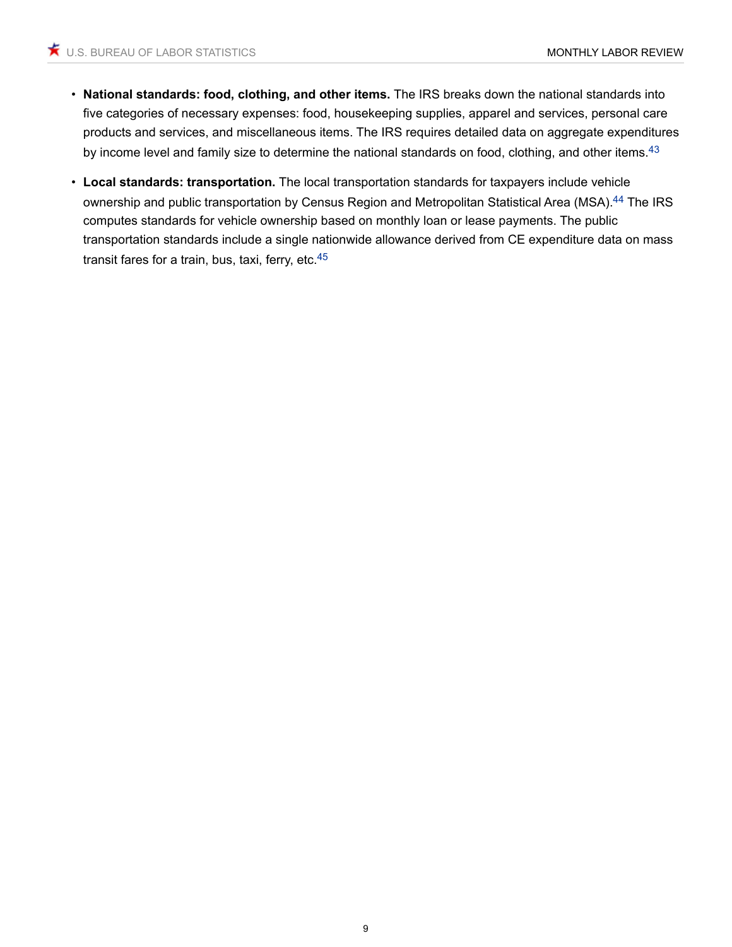- **National standards: food, clothing, and other items.** The IRS breaks down the national standards into five categories of necessary expenses: food, housekeeping supplies, apparel and services, personal care products and services, and miscellaneous items. The IRS requires detailed data on aggregate expenditures by income level and family size to determine the national standards on food, clothing, and other items.<sup>[43](#page-16-10)</sup>
- <span id="page-8-2"></span><span id="page-8-1"></span><span id="page-8-0"></span>• **Local standards: transportation.** The local transportation standards for taxpayers include vehicle ownership and public transportation by Census Region and Metropolitan Statistical Area (MSA).<sup>[44](#page-16-11)</sup> The IRS computes standards for vehicle ownership based on monthly loan or lease payments. The public transportation standards include a single nationwide allowance derived from CE expenditure data on mass transit fares for a train, bus, taxi, ferry, etc.<sup>[45](#page-16-12)</sup>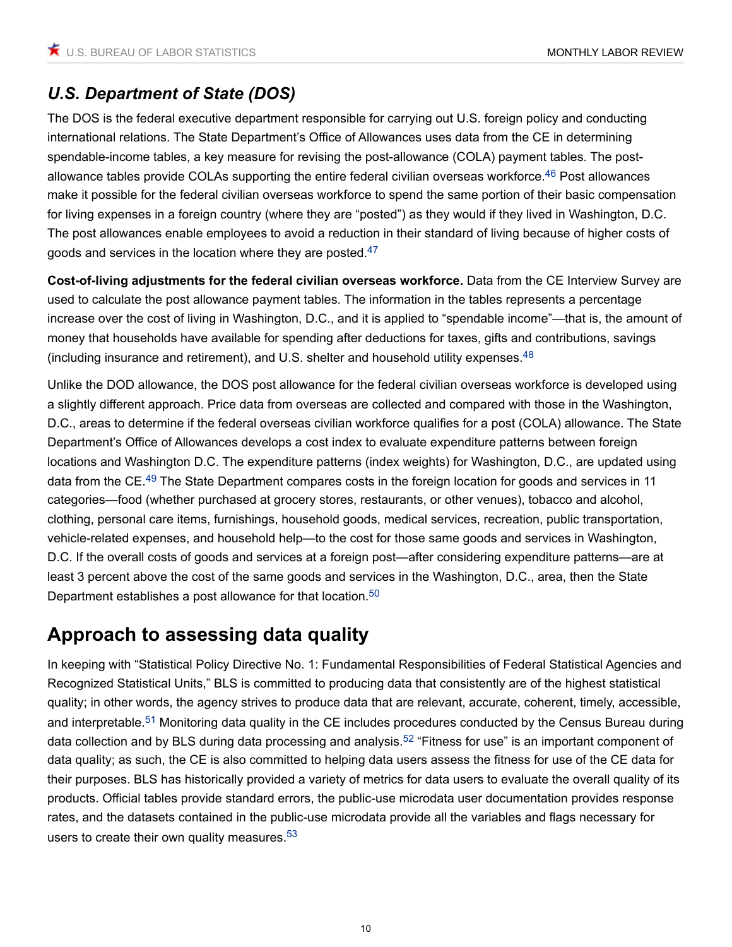## *U.S. Department of State (DOS)*

<span id="page-9-0"></span>The DOS is the federal executive department responsible for carrying out U.S. foreign policy and conducting international relations. The State Department's Office of Allowances uses data from the CE in determining spendable-income tables, a key measure for revising the post-allowance (COLA) payment tables. The post-allowance tables provide COLAs supporting the entire federal civilian overseas workforce.<sup>[46](#page-16-13)</sup> Post allowances make it possible for the federal civilian overseas workforce to spend the same portion of their basic compensation for living expenses in a foreign country (where they are "posted") as they would if they lived in Washington, D.C. The post allowances enable employees to avoid a reduction in their standard of living because of higher costs of goods and services in the location where they are posted.[47](#page-16-14)

<span id="page-9-1"></span>**Cost-of-living adjustments for the federal civilian overseas workforce.** Data from the CE Interview Survey are used to calculate the post allowance payment tables. The information in the tables represents a percentage increase over the cost of living in Washington, D.C., and it is applied to "spendable income"—that is, the amount of money that households have available for spending after deductions for taxes, gifts and contributions, savings (including insurance and retirement), and U.S. shelter and household utility expenses.<sup>[48](#page-16-15)</sup>

<span id="page-9-3"></span><span id="page-9-2"></span>Unlike the DOD allowance, the DOS post allowance for the federal civilian overseas workforce is developed using a slightly different approach. Price data from overseas are collected and compared with those in the Washington, D.C., areas to determine if the federal overseas civilian workforce qualifies for a post (COLA) allowance. The State Department's Office of Allowances develops a cost index to evaluate expenditure patterns between foreign locations and Washington D.C. The expenditure patterns (index weights) for Washington, D.C., are updated using data from the CE.<sup>[49](#page-16-16)</sup> The State Department compares costs in the foreign location for goods and services in 11 categories—food (whether purchased at grocery stores, restaurants, or other venues), tobacco and alcohol, clothing, personal care items, furnishings, household goods, medical services, recreation, public transportation, vehicle-related expenses, and household help—to the cost for those same goods and services in Washington, D.C. If the overall costs of goods and services at a foreign post—after considering expenditure patterns—are at least 3 percent above the cost of the same goods and services in the Washington, D.C., area, then the State Department establishes a post allowance for that location.<sup>[50](#page-16-17)</sup>

## <span id="page-9-4"></span>**Approach to assessing data quality**

<span id="page-9-7"></span><span id="page-9-6"></span><span id="page-9-5"></span>In keeping with "Statistical Policy Directive No. 1: Fundamental Responsibilities of Federal Statistical Agencies and Recognized Statistical Units," BLS is committed to producing data that consistently are of the highest statistical quality; in other words, the agency strives to produce data that are relevant, accurate, coherent, timely, accessible, and interpretable.<sup>[51](#page-16-18)</sup> Monitoring data quality in the CE includes procedures conducted by the Census Bureau during data collection and by BLS during data processing and analysis.<sup>[52](#page-17-0)</sup> "Fitness for use" is an important component of data quality; as such, the CE is also committed to helping data users assess the fitness for use of the CE data for their purposes. BLS has historically provided a variety of metrics for data users to evaluate the overall quality of its products. Official tables provide standard errors, the public-use microdata user documentation provides response rates, and the datasets contained in the public-use microdata provide all the variables and flags necessary for users to create their own quality measures.<sup>[53](#page-17-1)</sup>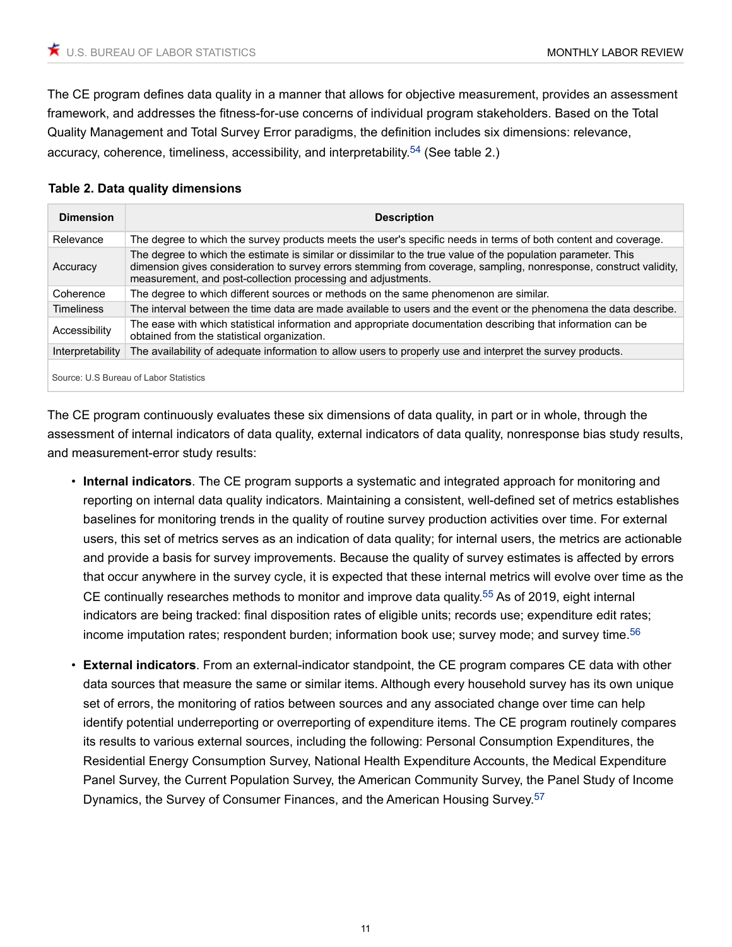The CE program defines data quality in a manner that allows for objective measurement, provides an assessment framework, and addresses the fitness-for-use concerns of individual program stakeholders. Based on the Total Quality Management and Total Survey Error paradigms, the definition includes six dimensions: relevance, accuracy, coherence, timeliness, accessibility, and interpretability,  $54$  (See table 2.)

#### <span id="page-10-0"></span>**Table 2. Data quality dimensions**

| <b>Dimension</b>                       | <b>Description</b>                                                                                                                                                                                                                                                                                 |  |  |  |
|----------------------------------------|----------------------------------------------------------------------------------------------------------------------------------------------------------------------------------------------------------------------------------------------------------------------------------------------------|--|--|--|
| Relevance                              | The degree to which the survey products meets the user's specific needs in terms of both content and coverage.                                                                                                                                                                                     |  |  |  |
| Accuracy                               | The degree to which the estimate is similar or dissimilar to the true value of the population parameter. This<br>dimension gives consideration to survey errors stemming from coverage, sampling, nonresponse, construct validity,<br>measurement, and post-collection processing and adjustments. |  |  |  |
| Coherence                              | The degree to which different sources or methods on the same phenomenon are similar.                                                                                                                                                                                                               |  |  |  |
| <b>Timeliness</b>                      | The interval between the time data are made available to users and the event or the phenomena the data describe.                                                                                                                                                                                   |  |  |  |
| Accessibility                          | The ease with which statistical information and appropriate documentation describing that information can be<br>obtained from the statistical organization.                                                                                                                                        |  |  |  |
| Interpretability                       | The availability of adequate information to allow users to properly use and interpret the survey products.                                                                                                                                                                                         |  |  |  |
| Source: U.S Bureau of Labor Statistics |                                                                                                                                                                                                                                                                                                    |  |  |  |

The CE program continuously evaluates these six dimensions of data quality, in part or in whole, through the assessment of internal indicators of data quality, external indicators of data quality, nonresponse bias study results, and measurement-error study results:

- **Internal indicators**. The CE program supports a systematic and integrated approach for monitoring and reporting on internal data quality indicators. Maintaining a consistent, well-defined set of metrics establishes baselines for monitoring trends in the quality of routine survey production activities over time. For external users, this set of metrics serves as an indication of data quality; for internal users, the metrics are actionable and provide a basis for survey improvements. Because the quality of survey estimates is affected by errors that occur anywhere in the survey cycle, it is expected that these internal metrics will evolve over time as the CE continually researches methods to monitor and improve data quality.<sup>[55](#page-17-3)</sup> As of 2019, eight internal indicators are being tracked: final disposition rates of eligible units; records use; expenditure edit rates; income imputation rates; respondent burden; information book use; survey mode; and survey time.[56](#page-17-4)
- <span id="page-10-3"></span><span id="page-10-2"></span><span id="page-10-1"></span>• **External indicators**. From an external-indicator standpoint, the CE program compares CE data with other data sources that measure the same or similar items. Although every household survey has its own unique set of errors, the monitoring of ratios between sources and any associated change over time can help identify potential underreporting or overreporting of expenditure items. The CE program routinely compares its results to various external sources, including the following: Personal Consumption Expenditures, the Residential Energy Consumption Survey, National Health Expenditure Accounts, the Medical Expenditure Panel Survey, the Current Population Survey, the American Community Survey, the Panel Study of Income Dynamics, the Survey of Consumer Finances, and the American Housing Survey.[57](#page-17-5)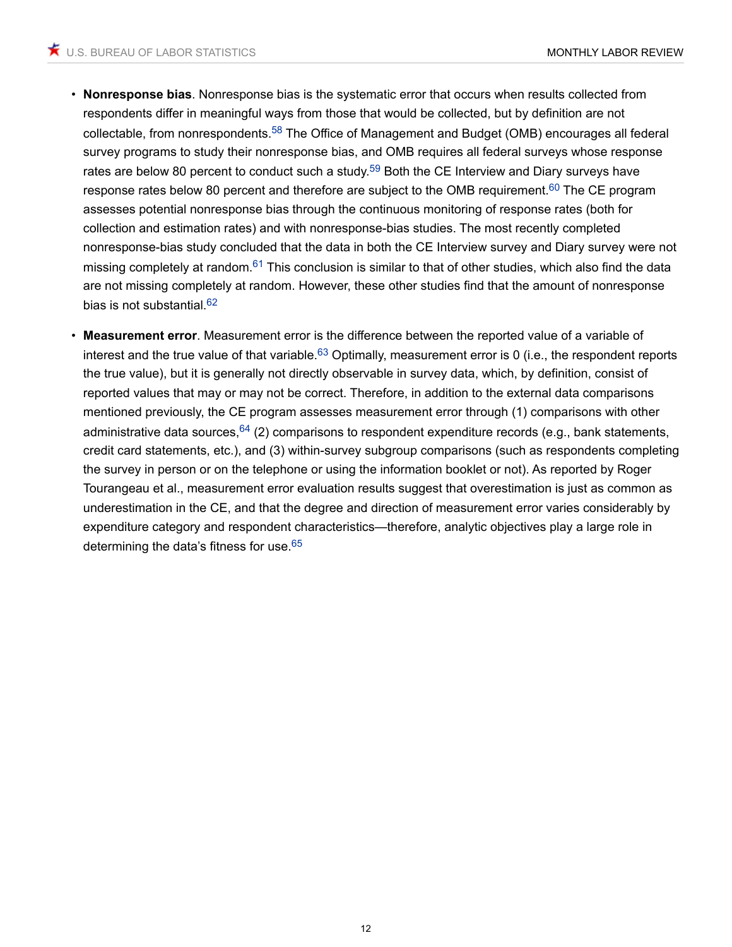- <span id="page-11-2"></span><span id="page-11-1"></span><span id="page-11-0"></span>• **Nonresponse bias**. Nonresponse bias is the systematic error that occurs when results collected from respondents differ in meaningful ways from those that would be collected, but by definition are not collectable, from nonrespondents.[58](#page-17-6) The Office of Management and Budget (OMB) encourages all federal survey programs to study their nonresponse bias, and OMB requires all federal surveys whose response rates are below 80 percent to conduct such a study.<sup>[59](#page-17-7)</sup> Both the CE Interview and Diary surveys have response rates below 80 percent and therefore are subject to the OMB requirement.<sup>[60](#page-17-8)</sup> The CE program assesses potential nonresponse bias through the continuous monitoring of response rates (both for collection and estimation rates) and with nonresponse-bias studies. The most recently completed nonresponse-bias study concluded that the data in both the CE Interview survey and Diary survey were not missing completely at random.<sup>[61](#page-17-9)</sup> This conclusion is similar to that of other studies, which also find the data are not missing completely at random. However, these other studies find that the amount of nonresponse bias is not substantial.<sup>[62](#page-17-10)</sup>
- <span id="page-11-7"></span><span id="page-11-6"></span><span id="page-11-5"></span><span id="page-11-4"></span><span id="page-11-3"></span>• **Measurement error**. Measurement error is the difference between the reported value of a variable of interest and the true value of that variable.<sup>[63](#page-17-11)</sup> Optimally, measurement error is 0 (i.e., the respondent reports the true value), but it is generally not directly observable in survey data, which, by definition, consist of reported values that may or may not be correct. Therefore, in addition to the external data comparisons mentioned previously, the CE program assesses measurement error through (1) comparisons with other administrative data sources,  $64$  (2) comparisons to respondent expenditure records (e.g., bank statements, credit card statements, etc.), and (3) within-survey subgroup comparisons (such as respondents completing the survey in person or on the telephone or using the information booklet or not). As reported by Roger Tourangeau et al., measurement error evaluation results suggest that overestimation is just as common as underestimation in the CE, and that the degree and direction of measurement error varies considerably by expenditure category and respondent characteristics—therefore, analytic objectives play a large role in determining the data's fitness for use <sup>[65](#page-17-13)</sup>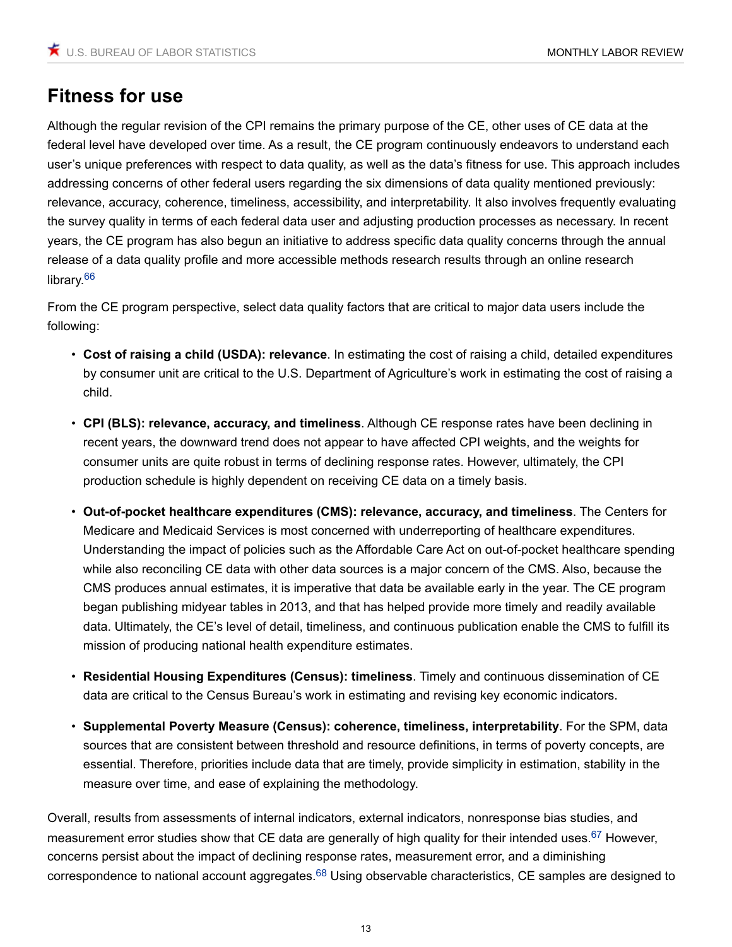## **Fitness for use**

Although the regular revision of the CPI remains the primary purpose of the CE, other uses of CE data at the federal level have developed over time. As a result, the CE program continuously endeavors to understand each user's unique preferences with respect to data quality, as well as the data's fitness for use. This approach includes addressing concerns of other federal users regarding the six dimensions of data quality mentioned previously: relevance, accuracy, coherence, timeliness, accessibility, and interpretability. It also involves frequently evaluating the survey quality in terms of each federal data user and adjusting production processes as necessary. In recent years, the CE program has also begun an initiative to address specific data quality concerns through the annual release of a data quality profile and more accessible methods research results through an online research library.<sup>[66](#page-18-0)</sup>

<span id="page-12-0"></span>From the CE program perspective, select data quality factors that are critical to major data users include the following:

- **Cost of raising a child (USDA): relevance**. In estimating the cost of raising a child, detailed expenditures by consumer unit are critical to the U.S. Department of Agriculture's work in estimating the cost of raising a child.
- **CPI (BLS): relevance, accuracy, and timeliness**. Although CE response rates have been declining in recent years, the downward trend does not appear to have affected CPI weights, and the weights for consumer units are quite robust in terms of declining response rates. However, ultimately, the CPI production schedule is highly dependent on receiving CE data on a timely basis.
- **Out-of-pocket healthcare expenditures (CMS): relevance, accuracy, and timeliness**. The Centers for Medicare and Medicaid Services is most concerned with underreporting of healthcare expenditures. Understanding the impact of policies such as the Affordable Care Act on out-of-pocket healthcare spending while also reconciling CE data with other data sources is a major concern of the CMS. Also, because the CMS produces annual estimates, it is imperative that data be available early in the year. The CE program began publishing midyear tables in 2013, and that has helped provide more timely and readily available data. Ultimately, the CE's level of detail, timeliness, and continuous publication enable the CMS to fulfill its mission of producing national health expenditure estimates.
- **Residential Housing Expenditures (Census): timeliness**. Timely and continuous dissemination of CE data are critical to the Census Bureau's work in estimating and revising key economic indicators.
- <span id="page-12-1"></span>• **Supplemental Poverty Measure (Census): coherence, timeliness, interpretability**. For the SPM, data sources that are consistent between threshold and resource definitions, in terms of poverty concepts, are essential. Therefore, priorities include data that are timely, provide simplicity in estimation, stability in the measure over time, and ease of explaining the methodology.

<span id="page-12-2"></span>Overall, results from assessments of internal indicators, external indicators, nonresponse bias studies, and measurement error studies show that CE data are generally of high quality for their intended uses.<sup>[67](#page-18-1)</sup> However, concerns persist about the impact of declining response rates, measurement error, and a diminishing correspondence to national account aggregates.<sup>[68](#page-18-2)</sup> Using observable characteristics, CE samples are designed to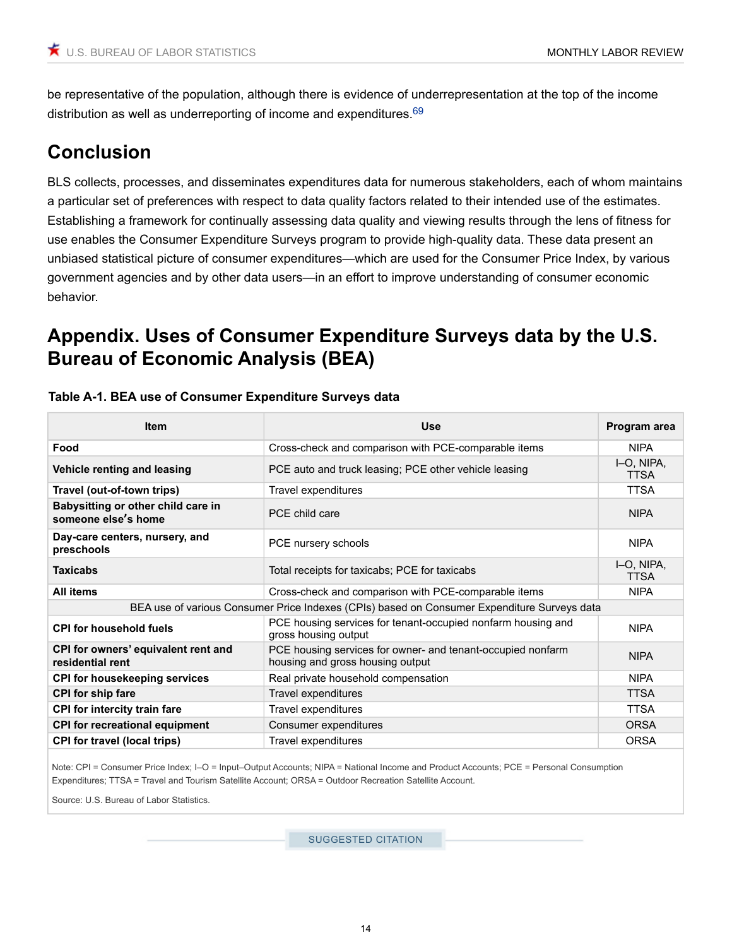<span id="page-13-0"></span>be representative of the population, although there is evidence of underrepresentation at the top of the income distribution as well as underreporting of income and expenditures.<sup>[69](#page-18-3)</sup>

## **Conclusion**

BLS collects, processes, and disseminates expenditures data for numerous stakeholders, each of whom maintains a particular set of preferences with respect to data quality factors related to their intended use of the estimates. Establishing a framework for continually assessing data quality and viewing results through the lens of fitness for use enables the Consumer Expenditure Surveys program to provide high-quality data. These data present an unbiased statistical picture of consumer expenditures—which are used for the Consumer Price Index, by various government agencies and by other data users—in an effort to improve understanding of consumer economic behavior.

## **Appendix. Uses of Consumer Expenditure Surveys data by the U.S. Bureau of Economic Analysis (BEA)**

| <b>Item</b>                                                                                 | <b>Use</b>                                                                                      | Program area              |  |  |  |
|---------------------------------------------------------------------------------------------|-------------------------------------------------------------------------------------------------|---------------------------|--|--|--|
| Food                                                                                        | Cross-check and comparison with PCE-comparable items                                            | <b>NIPA</b>               |  |  |  |
| Vehicle renting and leasing                                                                 | PCE auto and truck leasing; PCE other vehicle leasing                                           | I-O, NIPA,<br><b>TTSA</b> |  |  |  |
| Travel (out-of-town trips)                                                                  | Travel expenditures                                                                             | <b>TTSA</b>               |  |  |  |
| Babysitting or other child care in<br>someone else's home                                   | PCF child care                                                                                  | <b>NIPA</b>               |  |  |  |
| Day-care centers, nursery, and<br>preschools                                                | PCE nursery schools                                                                             | <b>NIPA</b>               |  |  |  |
| <b>Taxicabs</b>                                                                             | Total receipts for taxicabs; PCE for taxicabs                                                   | I-O, NIPA,<br><b>TTSA</b> |  |  |  |
| <b>All items</b>                                                                            | Cross-check and comparison with PCE-comparable items                                            | <b>NIPA</b>               |  |  |  |
| BEA use of various Consumer Price Indexes (CPIs) based on Consumer Expenditure Surveys data |                                                                                                 |                           |  |  |  |
| <b>CPI for household fuels</b>                                                              | PCE housing services for tenant-occupied nonfarm housing and<br>gross housing output            | <b>NIPA</b>               |  |  |  |
| CPI for owners' equivalent rent and<br>residential rent                                     | PCE housing services for owner- and tenant-occupied nonfarm<br>housing and gross housing output | <b>NIPA</b>               |  |  |  |
| <b>CPI for housekeeping services</b>                                                        | Real private household compensation                                                             | <b>NIPA</b>               |  |  |  |
| <b>CPI for ship fare</b>                                                                    | Travel expenditures                                                                             | <b>TTSA</b>               |  |  |  |
| <b>CPI</b> for intercity train fare                                                         | Travel expenditures                                                                             | <b>TTSA</b>               |  |  |  |
| <b>CPI for recreational equipment</b>                                                       | Consumer expenditures                                                                           | <b>ORSA</b>               |  |  |  |
| <b>CPI for travel (local trips)</b>                                                         | Travel expenditures                                                                             | <b>ORSA</b>               |  |  |  |

#### **Table A-1. BEA use of Consumer Expenditure Surveys data**

Note: CPI = Consumer Price Index; I–O = Input–Output Accounts; NIPA = National Income and Product Accounts; PCE = Personal Consumption Expenditures; TTSA = Travel and Tourism Satellite Account; ORSA = Outdoor Recreation Satellite Account.

Source: U.S. Bureau of Labor Statistics.

SUGGESTED CITATION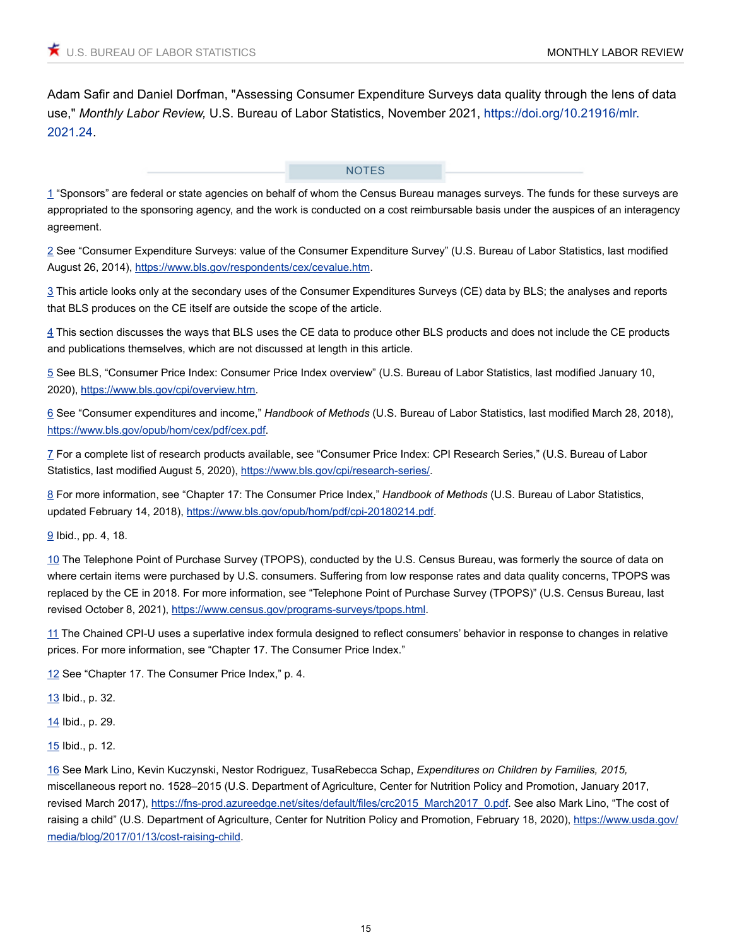Adam Safir and Daniel Dorfman, "Assessing Consumer Expenditure Surveys data quality through the lens of data use," *Monthly Labor Review,* U.S. Bureau of Labor Statistics, November 2021, [https://doi.org/10.21916/mlr.](https://doi.org/10.21916/mlr.2021.24) [2021.24.](https://doi.org/10.21916/mlr.2021.24)

#### **NOTES**

<span id="page-14-0"></span>[1](#page-0-0) "Sponsors" are federal or state agencies on behalf of whom the Census Bureau manages surveys. The funds for these surveys are appropriated to the sponsoring agency, and the work is conducted on a cost reimbursable basis under the auspices of an interagency agreement.

<span id="page-14-1"></span>[2](#page-1-0) See "Consumer Expenditure Surveys: value of the Consumer Expenditure Survey" (U.S. Bureau of Labor Statistics, last modified August 26, 2014), [https://www.bls.gov/respondents/cex/cevalue.htm.](https://www.bls.gov/respondents/cex/cevalue.htm)

<span id="page-14-2"></span>[3](#page-1-1) This article looks only at the secondary uses of the Consumer Expenditures Surveys (CE) data by BLS; the analyses and reports that BLS produces on the CE itself are outside the scope of the article.

<span id="page-14-3"></span>[4](#page-2-0) This section discusses the ways that BLS uses the CE data to produce other BLS products and does not include the CE products and publications themselves, which are not discussed at length in this article.

<span id="page-14-4"></span>[5](#page-2-1) See BLS, "Consumer Price Index: Consumer Price Index overview" (U.S. Bureau of Labor Statistics, last modified January 10, 2020), [https://www.bls.gov/cpi/overview.htm.](https://www.bls.gov/cpi/overview.htm)

<span id="page-14-5"></span>[6](#page-2-2) See "Consumer expenditures and income," *Handbook of Methods* (U.S. Bureau of Labor Statistics, last modified March 28, 2018), <https://www.bls.gov/opub/hom/cex/pdf/cex.pdf>.

<span id="page-14-6"></span>[7](#page-2-3) For a complete list of research products available, see "Consumer Price Index: CPI Research Series," (U.S. Bureau of Labor Statistics, last modified August 5, 2020), [https://www.bls.gov/cpi/research-series/.](https://www.bls.gov/cpi/research-series/)

<span id="page-14-7"></span>[8](#page-2-4) For more information, see "Chapter 17: The Consumer Price Index," *Handbook of Methods* (U.S. Bureau of Labor Statistics, updated February 14, 2018), [https://www.bls.gov/opub/hom/pdf/cpi-20180214.pdf.](https://www.bls.gov/opub/hom/pdf/cpi-20180214.pdf)

<span id="page-14-8"></span>[9](#page-3-0) Ibid., pp. 4, 18.

<span id="page-14-9"></span>[10](#page-3-1) The Telephone Point of Purchase Survey (TPOPS), conducted by the U.S. Census Bureau, was formerly the source of data on where certain items were purchased by U.S. consumers. Suffering from low response rates and data quality concerns, TPOPS was replaced by the CE in 2018. For more information, see "Telephone Point of Purchase Survey (TPOPS)" (U.S. Census Bureau, last revised October 8, 2021), <https://www.census.gov/programs-surveys/tpops.html>.

<span id="page-14-10"></span>[11](#page-3-2) The Chained CPI-U uses a superlative index formula designed to reflect consumers' behavior in response to changes in relative prices. For more information, see "Chapter 17. The Consumer Price Index."

<span id="page-14-11"></span>[12](#page-3-3) See "Chapter 17. The Consumer Price Index," p. 4.

<span id="page-14-12"></span>[13](#page-3-4) Ibid., p. 32.

<span id="page-14-13"></span>[14](#page-3-5) Ibid., p. 29.

<span id="page-14-14"></span>[15](#page-4-0) Ibid., p. 12.

<span id="page-14-15"></span>[16](#page-4-1) See Mark Lino, Kevin Kuczynski, Nestor Rodriguez, TusaRebecca Schap, *Expenditures on Children by Families, 2015,*  miscellaneous report no. 1528–2015 (U.S. Department of Agriculture, Center for Nutrition Policy and Promotion, January 2017, revised March 2017), [https://fns-prod.azureedge.net/sites/default/files/crc2015\\_March2017\\_0.pdf](https://fns-prod.azureedge.net/sites/default/files/crc2015_March2017_0.pdf). See also Mark Lino, "The cost of raising a child" (U.S. Department of Agriculture, Center for Nutrition Policy and Promotion, February 18, 2020), [https://www.usda.gov/](https://www.usda.gov/media/blog/2017/01/13/cost-raising-child) [media/blog/2017/01/13/cost-raising-child](https://www.usda.gov/media/blog/2017/01/13/cost-raising-child).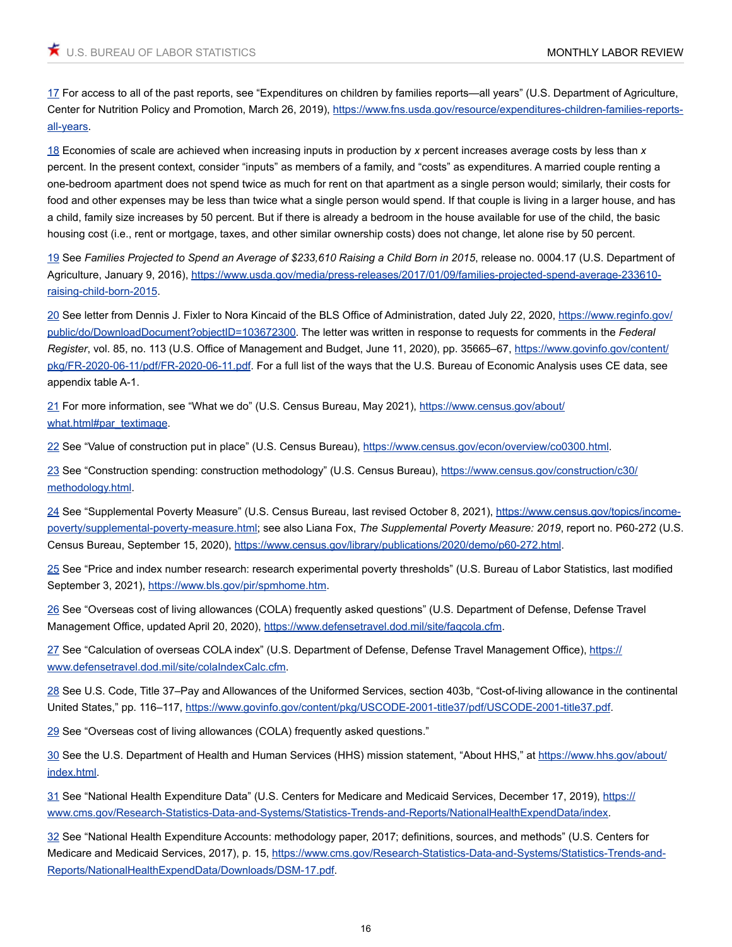<span id="page-15-0"></span>[17](#page-4-2) For access to all of the past reports, see "Expenditures on children by families reports—all years" (U.S. Department of Agriculture, Center for Nutrition Policy and Promotion, March 26, 2019), [https://www.fns.usda.gov/resource/expenditures-children-families-reports](https://www.fns.usda.gov/resource/expenditures-children-families-reports-all-years)[all-years.](https://www.fns.usda.gov/resource/expenditures-children-families-reports-all-years)

<span id="page-15-1"></span>[18](#page-4-3) Economies of scale are achieved when increasing inputs in production by *x* percent increases average costs by less than *x* percent. In the present context, consider "inputs" as members of a family, and "costs" as expenditures. A married couple renting a one-bedroom apartment does not spend twice as much for rent on that apartment as a single person would; similarly, their costs for food and other expenses may be less than twice what a single person would spend. If that couple is living in a larger house, and has a child, family size increases by 50 percent. But if there is already a bedroom in the house available for use of the child, the basic housing cost (i.e., rent or mortgage, taxes, and other similar ownership costs) does not change, let alone rise by 50 percent.

<span id="page-15-2"></span>[19](#page-4-4) See *Families Projected to Spend an Average of \$233,610 Raising a Child Born in 2015*, release no. 0004.17 (U.S. Department of Agriculture, January 9, 2016), [https://www.usda.gov/media/press-releases/2017/01/09/families-projected-spend-average-233610](https://www.usda.gov/media/press-releases/2017/01/09/families-projected-spend-average-233610-raising-child-born-2015) [raising-child-born-2015.](https://www.usda.gov/media/press-releases/2017/01/09/families-projected-spend-average-233610-raising-child-born-2015)

<span id="page-15-3"></span>[20](#page-5-0) See letter from Dennis J. Fixler to Nora Kincaid of the BLS Office of Administration, dated July 22, 2020, [https://www.reginfo.gov/](https://www.reginfo.gov/public/do/DownloadDocument?objectID=103672300) [public/do/DownloadDocument?objectID=103672300](https://www.reginfo.gov/public/do/DownloadDocument?objectID=103672300). The letter was written in response to requests for comments in the *Federal Register*, vol. 85, no. 113 (U.S. Office of Management and Budget, June 11, 2020), pp. 35665–67, [https://www.govinfo.gov/content/](https://www.govinfo.gov/content/pkg/FR-2020-06-11/pdf/FR-2020-06-11.pdf) [pkg/FR-2020-06-11/pdf/FR-2020-06-11.pdf.](https://www.govinfo.gov/content/pkg/FR-2020-06-11/pdf/FR-2020-06-11.pdf) For a full list of the ways that the U.S. Bureau of Economic Analysis uses CE data, see appendix table A-1.

<span id="page-15-4"></span>[21](#page-5-1) For more information, see "What we do" (U.S. Census Bureau, May 2021), [https://www.census.gov/about/](https://www.census.gov/about/what.html#par_textimage) [what.html#par\\_textimage](https://www.census.gov/about/what.html#par_textimage).

<span id="page-15-5"></span>[22](#page-5-2) See "Value of construction put in place" (U.S. Census Bureau), <https://www.census.gov/econ/overview/co0300.html>.

<span id="page-15-6"></span>[23](#page-5-3) See "Construction spending: construction methodology" (U.S. Census Bureau), [https://www.census.gov/construction/c30/](https://www.census.gov/construction/c30/methodology.html) [methodology.html](https://www.census.gov/construction/c30/methodology.html).

<span id="page-15-7"></span>[24](#page-5-4) See "Supplemental Poverty Measure" (U.S. Census Bureau, last revised October 8, 2021), [https://www.census.gov/topics/income](https://www.census.gov/topics/income-poverty/supplemental-poverty-measure.html)[poverty/supplemental-poverty-measure.html](https://www.census.gov/topics/income-poverty/supplemental-poverty-measure.html); see also Liana Fox, *The Supplemental Poverty Measure: 2019*, report no. P60-272 (U.S. Census Bureau, September 15, 2020), [https://www.census.gov/library/publications/2020/demo/p60-272.html.](https://www.census.gov/library/publications/2020/demo/p60-272.html)

<span id="page-15-8"></span>[25](#page-5-5) See "Price and index number research: research experimental poverty thresholds" (U.S. Bureau of Labor Statistics, last modified September 3, 2021),<https://www.bls.gov/pir/spmhome.htm>.

<span id="page-15-9"></span>[26](#page-6-0) See "Overseas cost of living allowances (COLA) frequently asked questions" (U.S. Department of Defense, Defense Travel Management Office, updated April 20, 2020), [https://www.defensetravel.dod.mil/site/faqcola.cfm.](https://www.defensetravel.dod.mil/site/faqcola.cfm)

<span id="page-15-10"></span>[27](#page-6-1) See "Calculation of overseas COLA index" (U.S. Department of Defense, Defense Travel Management Office), [https://](https://www.defensetravel.dod.mil/site/colaIndexCalc.cfm) [www.defensetravel.dod.mil/site/colaIndexCalc.cfm](https://www.defensetravel.dod.mil/site/colaIndexCalc.cfm).

<span id="page-15-11"></span>[28](#page-6-2) See U.S. Code, Title 37-Pay and Allowances of the Uniformed Services, section 403b, "Cost-of-living allowance in the continental United States," pp. 116–117, [https://www.govinfo.gov/content/pkg/USCODE-2001-title37/pdf/USCODE-2001-title37.pdf.](https://www.govinfo.gov/content/pkg/USCODE-2001-title37/pdf/USCODE-2001-title37.pdf)

<span id="page-15-12"></span>[29](#page-6-3) See "Overseas cost of living allowances (COLA) frequently asked questions."

<span id="page-15-13"></span>[30](#page-6-4) See the U.S. Department of Health and Human Services (HHS) mission statement, "About HHS," at [https://www.hhs.gov/about/](https://www.hhs.gov/about/index.html) [index.html.](https://www.hhs.gov/about/index.html)

<span id="page-15-14"></span>[31](#page-6-5) See "National Health Expenditure Data" (U.S. Centers for Medicare and Medicaid Services, December 17, 2019), [https://](https://www.cms.gov/Research-Statistics-Data-and-Systems/Statistics-Trends-and-Reports/NationalHealthExpendData/index) [www.cms.gov/Research-Statistics-Data-and-Systems/Statistics-Trends-and-Reports/NationalHealthExpendData/index.](https://www.cms.gov/Research-Statistics-Data-and-Systems/Statistics-Trends-and-Reports/NationalHealthExpendData/index)

<span id="page-15-15"></span>[32](#page-6-6) See "National Health Expenditure Accounts: methodology paper, 2017; definitions, sources, and methods" (U.S. Centers for Medicare and Medicaid Services, 2017), p. 15, [https://www.cms.gov/Research-Statistics-Data-and-Systems/Statistics-Trends-and-](https://www.cms.gov/Research-Statistics-Data-and-Systems/Statistics-Trends-and-Reports/NationalHealthExpendData/Downloads/DSM-17.pdf)[Reports/NationalHealthExpendData/Downloads/DSM-17.pdf.](https://www.cms.gov/Research-Statistics-Data-and-Systems/Statistics-Trends-and-Reports/NationalHealthExpendData/Downloads/DSM-17.pdf)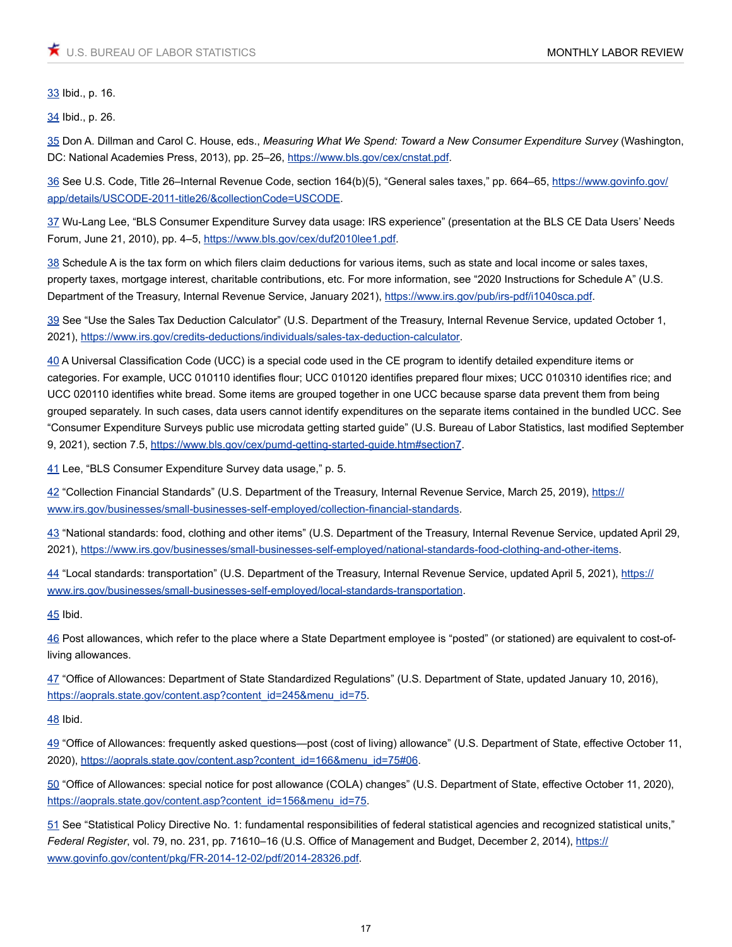<span id="page-16-0"></span>[33](#page-7-0) Ibid., p. 16.

<span id="page-16-1"></span>[34](#page-7-1) Ibid., p. 26.

<span id="page-16-2"></span>[35](#page-7-2) Don A. Dillman and Carol C. House, eds., *Measuring What We Spend: Toward a New Consumer Expenditure Survey* (Washington, DC: National Academies Press, 2013), pp. 25-26, [https://www.bls.gov/cex/cnstat.pdf.](https://www.bls.gov/cex/cnstat.pdf)

<span id="page-16-3"></span>[36](#page-7-3) See U.S. Code, Title 26–Internal Revenue Code, section 164(b)(5), "General sales taxes," pp. 664–65, [https://www.govinfo.gov/](https://www.govinfo.gov/app/details/USCODE-2011-title26/&collectionCode=USCODE) [app/details/USCODE-2011-title26/&collectionCode=USCODE.](https://www.govinfo.gov/app/details/USCODE-2011-title26/&collectionCode=USCODE)

<span id="page-16-4"></span>[37](#page-7-4) Wu-Lang Lee, "BLS Consumer Expenditure Survey data usage: IRS experience" (presentation at the BLS CE Data Users' Needs Forum, June 21, 2010), pp. 4–5, <https://www.bls.gov/cex/duf2010lee1.pdf>.

<span id="page-16-5"></span>[38](#page-7-5) Schedule A is the tax form on which filers claim deductions for various items, such as state and local income or sales taxes, property taxes, mortgage interest, charitable contributions, etc. For more information, see "2020 Instructions for Schedule A" (U.S. Department of the Treasury, Internal Revenue Service, January 2021), <https://www.irs.gov/pub/irs-pdf/i1040sca.pdf>.

<span id="page-16-6"></span>[39](#page-7-6) See "Use the Sales Tax Deduction Calculator" (U.S. Department of the Treasury, Internal Revenue Service, updated October 1, 2021), [https://www.irs.gov/credits-deductions/individuals/sales-tax-deduction-calculator.](https://www.irs.gov/credits-deductions/individuals/sales-tax-deduction-calculator)

<span id="page-16-7"></span>[40](#page-7-7) A Universal Classification Code (UCC) is a special code used in the CE program to identify detailed expenditure items or categories. For example, UCC 010110 identifies flour; UCC 010120 identifies prepared flour mixes; UCC 010310 identifies rice; and UCC 020110 identifies white bread. Some items are grouped together in one UCC because sparse data prevent them from being grouped separately. In such cases, data users cannot identify expenditures on the separate items contained in the bundled UCC. See "Consumer Expenditure Surveys public use microdata getting started guide" (U.S. Bureau of Labor Statistics, last modified September 9, 2021), section 7.5, <https://www.bls.gov/cex/pumd-getting-started-guide.htm#section7>.

<span id="page-16-8"></span>[41](#page-7-8) Lee, "BLS Consumer Expenditure Survey data usage," p. 5.

<span id="page-16-9"></span>[42](#page-7-9) "Collection Financial Standards" (U.S. Department of the Treasury, Internal Revenue Service, March 25, 2019), [https://](https://www.irs.gov/businesses/small-businesses-self-employed/collection-financial-standards) [www.irs.gov/businesses/small-businesses-self-employed/collection-financial-standards](https://www.irs.gov/businesses/small-businesses-self-employed/collection-financial-standards).

<span id="page-16-10"></span>[43](#page-8-0) "National standards: food, clothing and other items" (U.S. Department of the Treasury, Internal Revenue Service, updated April 29, 2021), [https://www.irs.gov/businesses/small-businesses-self-employed/national-standards-food-clothing-and-other-items.](https://www.irs.gov/businesses/small-businesses-self-employed/national-standards-food-clothing-and-other-items)

<span id="page-16-11"></span>[44](#page-8-1) "Local standards: transportation" (U.S. Department of the Treasury, Internal Revenue Service, updated April 5, 2021), [https://](https://www.irs.gov/businesses/small-businesses-self-employed/local-standards-transportation) [www.irs.gov/businesses/small-businesses-self-employed/local-standards-transportation](https://www.irs.gov/businesses/small-businesses-self-employed/local-standards-transportation).

<span id="page-16-12"></span>[45](#page-8-2) Ibid.

<span id="page-16-13"></span>[46](#page-9-0) Post allowances, which refer to the place where a State Department employee is "posted" (or stationed) are equivalent to cost-ofliving allowances.

<span id="page-16-14"></span>[47](#page-9-1) "Office of Allowances: Department of State Standardized Regulations" (U.S. Department of State, updated January 10, 2016), [https://aoprals.state.gov/content.asp?content\\_id=245&menu\\_id=75.](https://aoprals.state.gov/content.asp?content_id=245&menu_id=75)

<span id="page-16-15"></span>[48](#page-9-2) Ibid.

<span id="page-16-16"></span>[49](#page-9-3) "Office of Allowances: frequently asked questions—post (cost of living) allowance" (U.S. Department of State, effective October 11, 2020), [https://aoprals.state.gov/content.asp?content\\_id=166&menu\\_id=75#06.](https://aoprals.state.gov/content.asp?content_id=166&menu_id=75#06)

<span id="page-16-17"></span>[50](#page-9-4) "Office of Allowances: special notice for post allowance (COLA) changes" (U.S. Department of State, effective October 11, 2020), [https://aoprals.state.gov/content.asp?content\\_id=156&menu\\_id=75.](https://aoprals.state.gov/content.asp?content_id=156&menu_id=75)

<span id="page-16-18"></span>[51](#page-9-5) See "Statistical Policy Directive No. 1: fundamental responsibilities of federal statistical agencies and recognized statistical units," *Federal Register*, vol. 79, no. 231, pp. 71610–16 (U.S. Office of Management and Budget, December 2, 2014), [https://](https://www.govinfo.gov/content/pkg/FR-2014-12-02/pdf/2014-28326.pdf) [www.govinfo.gov/content/pkg/FR-2014-12-02/pdf/2014-28326.pdf](https://www.govinfo.gov/content/pkg/FR-2014-12-02/pdf/2014-28326.pdf).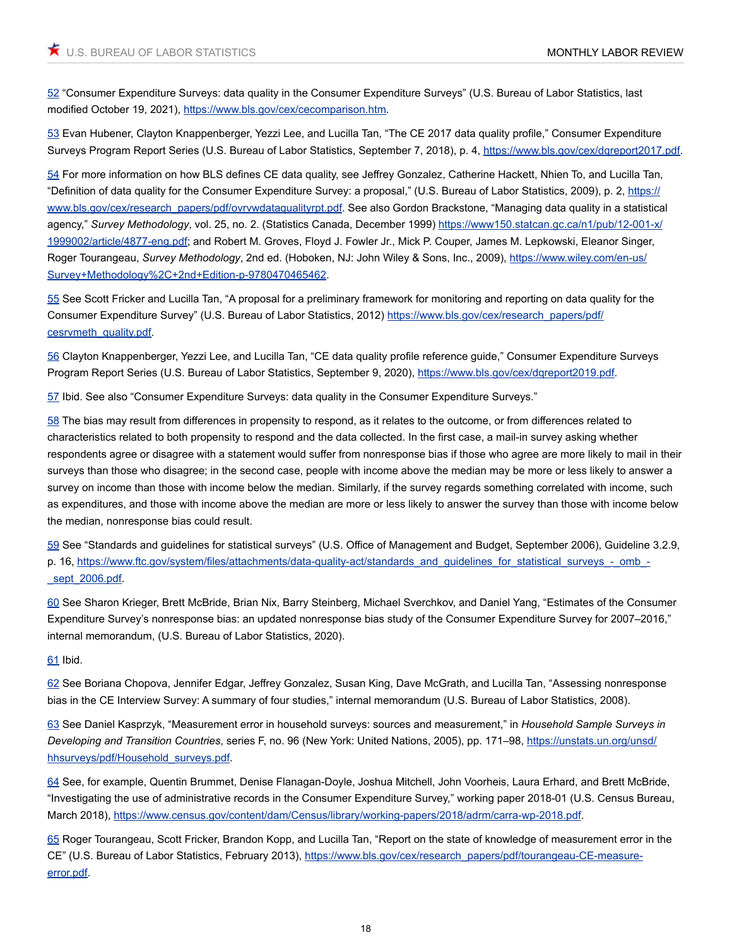<span id="page-17-0"></span>[52](#page-9-6) "Consumer Expenditure Surveys: data quality in the Consumer Expenditure Surveys" (U.S. Bureau of Labor Statistics, last modified October 19, 2021), <https://www.bls.gov/cex/cecomparison.htm>.

<span id="page-17-1"></span>[53](#page-9-7) Evan Hubener, Clayton Knappenberger, Yezzi Lee, and Lucilla Tan, "The CE 2017 data quality profile," Consumer Expenditure Surveys Program Report Series (U.S. Bureau of Labor Statistics, September 7, 2018), p. 4, <https://www.bls.gov/cex/dqreport2017.pdf>.

<span id="page-17-2"></span>[54](#page-10-0) For more information on how BLS defines CE data quality, see Jeffrey Gonzalez, Catherine Hackett, Nhien To, and Lucilla Tan, "Definition of data quality for the Consumer Expenditure Survey: a proposal," (U.S. Bureau of Labor Statistics, 2009), p. 2, [https://](https://www.bls.gov/cex/research_papers/pdf/ovrvwdataqualityrpt.pdf) [www.bls.gov/cex/research\\_papers/pdf/ovrvwdataqualityrpt.pdf](https://www.bls.gov/cex/research_papers/pdf/ovrvwdataqualityrpt.pdf). See also Gordon Brackstone, "Managing data quality in a statistical agency," *Survey Methodology*, vol. 25, no. 2. (Statistics Canada, December 1999) [https://www150.statcan.gc.ca/n1/pub/12-001-x/](https://www150.statcan.gc.ca/n1/pub/12-001-x/1999002/article/4877-eng.pdf) [1999002/article/4877-eng.pdf;](https://www150.statcan.gc.ca/n1/pub/12-001-x/1999002/article/4877-eng.pdf) and Robert M. Groves, Floyd J. Fowler Jr., Mick P. Couper, James M. Lepkowski, Eleanor Singer, Roger Tourangeau, *Survey Methodology*, 2nd ed. (Hoboken, NJ: John Wiley & Sons, Inc., 2009), [https://www.wiley.com/en-us/](https://www.wiley.com/en-us/Survey+Methodology%2C+2nd+Edition-p-9780470465462) [Survey+Methodology%2C+2nd+Edition-p-9780470465462](https://www.wiley.com/en-us/Survey+Methodology%2C+2nd+Edition-p-9780470465462).

<span id="page-17-3"></span>[55](#page-10-1) See Scott Fricker and Lucilla Tan, "A proposal for a preliminary framework for monitoring and reporting on data quality for the Consumer Expenditure Survey" (U.S. Bureau of Labor Statistics, 2012) [https://www.bls.gov/cex/research\\_papers/pdf/](https://www.bls.gov/cex/research_papers/pdf/cesrvmeth_quality.pdf) [cesrvmeth\\_quality.pdf.](https://www.bls.gov/cex/research_papers/pdf/cesrvmeth_quality.pdf)

<span id="page-17-4"></span>[56](#page-10-2) Clayton Knappenberger, Yezzi Lee, and Lucilla Tan, "CE data quality profile reference guide," Consumer Expenditure Surveys Program Report Series (U.S. Bureau of Labor Statistics, September 9, 2020), <https://www.bls.gov/cex/dqreport2019.pdf>.

<span id="page-17-5"></span>[57](#page-10-3) Ibid. See also "Consumer Expenditure Surveys: data quality in the Consumer Expenditure Surveys."

<span id="page-17-6"></span>[58](#page-11-0) The bias may result from differences in propensity to respond, as it relates to the outcome, or from differences related to characteristics related to both propensity to respond and the data collected. In the first case, a mail-in survey asking whether respondents agree or disagree with a statement would suffer from nonresponse bias if those who agree are more likely to mail in their surveys than those who disagree; in the second case, people with income above the median may be more or less likely to answer a survey on income than those with income below the median. Similarly, if the survey regards something correlated with income, such as expenditures, and those with income above the median are more or less likely to answer the survey than those with income below the median, nonresponse bias could result.

<span id="page-17-7"></span>[59](#page-11-1) See "Standards and guidelines for statistical surveys" (U.S. Office of Management and Budget, September 2006), Guideline 3.2.9, p. 16, [https://www.ftc.gov/system/files/attachments/data-quality-act/standards\\_and\\_guidelines\\_for\\_statistical\\_surveys\\_-\\_omb\\_-](https://www.ftc.gov/system/files/attachments/data-quality-act/standards_and_guidelines_for_statistical_surveys_-_omb_-_sept_2006.pdf) [\\_sept\\_2006.pdf.](https://www.ftc.gov/system/files/attachments/data-quality-act/standards_and_guidelines_for_statistical_surveys_-_omb_-_sept_2006.pdf)

<span id="page-17-8"></span>[60](#page-11-2) See Sharon Krieger, Brett McBride, Brian Nix, Barry Steinberg, Michael Sverchkov, and Daniel Yang, "Estimates of the Consumer Expenditure Survey's nonresponse bias: an updated nonresponse bias study of the Consumer Expenditure Survey for 2007–2016," internal memorandum, (U.S. Bureau of Labor Statistics, 2020).

<span id="page-17-9"></span>[61](#page-11-3) Ibid.

<span id="page-17-10"></span>[62](#page-11-4) See Boriana Chopova, Jennifer Edgar, Jeffrey Gonzalez, Susan King, Dave McGrath, and Lucilla Tan, "Assessing nonresponse bias in the CE Interview Survey: A summary of four studies," internal memorandum (U.S. Bureau of Labor Statistics, 2008).

<span id="page-17-11"></span>[63](#page-11-5) See Daniel Kasprzyk, "Measurement error in household surveys: sources and measurement," in *Household Sample Surveys in Developing and Transition Countries*, series F, no. 96 (New York: United Nations, 2005), pp. 171–98, [https://unstats.un.org/unsd/](https://unstats.un.org/unsd/hhsurveys/pdf/Household_surveys.pdf) [hhsurveys/pdf/Household\\_surveys.pdf](https://unstats.un.org/unsd/hhsurveys/pdf/Household_surveys.pdf).

<span id="page-17-12"></span>[64](#page-11-6) See, for example, Quentin Brummet, Denise Flanagan-Doyle, Joshua Mitchell, John Voorheis, Laura Erhard, and Brett McBride, "Investigating the use of administrative records in the Consumer Expenditure Survey," working paper 2018-01 (U.S. Census Bureau, March 2018),<https://www.census.gov/content/dam/Census/library/working-papers/2018/adrm/carra-wp-2018.pdf>.

<span id="page-17-13"></span>[65](#page-11-7) Roger Tourangeau, Scott Fricker, Brandon Kopp, and Lucilla Tan, "Report on the state of knowledge of measurement error in the CE" (U.S. Bureau of Labor Statistics, February 2013), [https://www.bls.gov/cex/research\\_papers/pdf/tourangeau-CE-measure](https://www.bls.gov/cex/research_papers/pdf/tourangeau-CE-measure-error.pdf)[error.pdf](https://www.bls.gov/cex/research_papers/pdf/tourangeau-CE-measure-error.pdf).